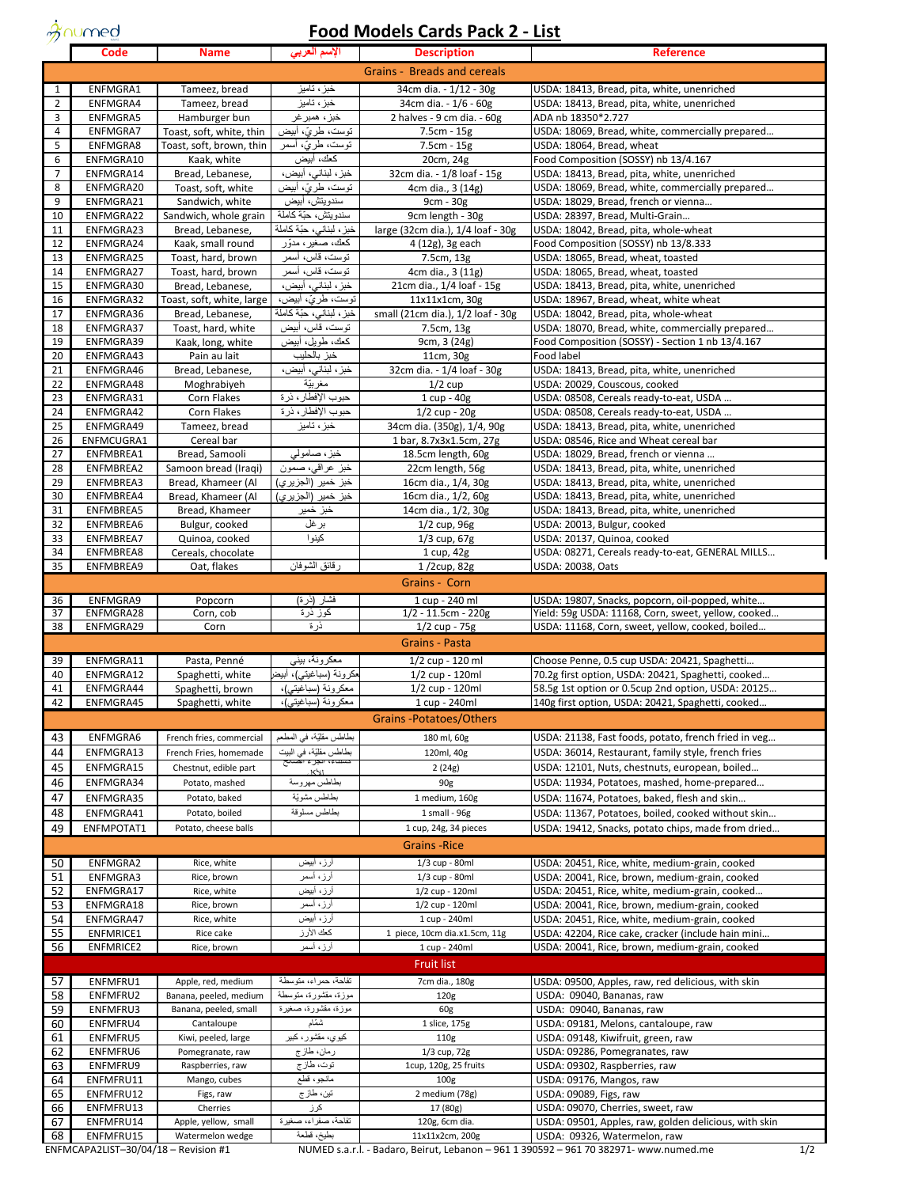$\dot{\mathcal{X}}$ numed

## **Food Models Cards Pack 2 - List**

| Grains - Breads and cereals<br>خبز ، تاميز<br>ENFMGRA1<br>Tameez, bread<br>34cm dia. - 1/12 - 30g<br>USDA: 18413, Bread, pita, white, unenriched<br>1<br>$\overline{2}$<br>ENFMGRA4<br>Tameez, bread<br>خبز ، تاميز<br>34cm dia. - 1/6 - 60g<br>USDA: 18413, Bread, pita, white, unenriched<br>3<br>2 halves - 9 cm dia. - 60g<br><b>ENFMGRA5</b><br>Hamburger bun<br>خبز ، همبر غر<br>ADA nb 18350*2.727<br>$\overline{4}$<br>ENFMGRA7<br>توست، طريّ، أبيض<br>Toast, soft, white, thin<br>7.5cm - 15g<br>USDA: 18069, Bread, white, commercially prepared<br>5<br>ENFMGRA8<br>Toast, soft, brown, thin<br>توست، طريّ، اسمر<br>7.5cm - 15g<br>USDA: 18064, Bread, wheat<br>6<br>كعك، أبيض<br>ENFMGRA10<br>Kaak, white<br>20cm, 24g<br>Food Composition (SOSSY) nb 13/4.167<br>$\overline{7}$<br>ENFMGRA14<br>خبز ، لبناني، أبيض،<br>32cm dia. - 1/8 loaf - 15g<br>Bread, Lebanese,<br>USDA: 18413, Bread, pita, white, unenriched<br>8<br>ENFMGRA20<br>USDA: 18069, Bread, white, commercially prepared<br>Toast, soft, white<br>نوست، طريٌ، ابيض<br>4cm dia., 3 (14g)<br>9<br>ENFMGRA21<br>سندويتش، أبيض<br>USDA: 18029, Bread, french or vienna<br>Sandwich, white<br>9cm - 30g<br>10<br>سندويتش، حبّة كاملة<br>USDA: 28397, Bread, Multi-Grain<br>ENFMGRA22<br>Sandwich, whole grain<br>9cm length - 30g<br>11<br>خبز ، لبناني، حبّة كاملة<br>ENFMGRA23<br>large (32cm dia.), 1/4 loaf - 30g<br>USDA: 18042, Bread, pita, whole-wheat<br>Bread, Lebanese,<br>12<br>ENFMGRA24<br>كعك، صغير ، مدوّر<br>Food Composition (SOSSY) nb 13/8.333<br>Kaak, small round<br>4 (12g), 3g each<br>USDA: 18065, Bread, wheat, toasted<br>13<br>ENFMGRA25<br>توست، قاس، أسمر<br>7.5cm, 13g<br>Toast, hard, brown<br>14<br>ENFMGRA27<br>USDA: 18065, Bread, wheat, toasted<br>Toast, hard, brown<br>توست، قاس، اسمر<br>4cm dia., 3 (11g)<br>15<br>ENFMGRA30<br>خبز ، لبنانی، أبيض،<br>21cm dia., 1/4 loaf - 15g<br>USDA: 18413, Bread, pita, white, unenriched<br>Bread, Lebanese,<br>16<br>ENFMGRA32<br>توست، طريّ، أبيض،<br>11x11x1cm, 30g<br>USDA: 18967, Bread, wheat, white wheat<br>Toast, soft, white, large<br>خبز ، لبناني، حبّة كاملة<br>17<br>ENFMGRA36<br>small (21cm dia.), 1/2 loaf - 30g<br>USDA: 18042, Bread, pita, whole-wheat<br>Bread, Lebanese,<br>توست، قاس، أبيض<br>18<br>ENFMGRA37<br>7.5cm, 13g<br>USDA: 18070, Bread, white, commercially prepared<br>Toast, hard, white<br>كعك، طويل، أبيض<br>Food Composition (SOSSY) - Section 1 nb 13/4.167<br>19<br>ENFMGRA39<br>Kaak, long, white<br>9cm, 3 (24g)<br>خبز بالحليب<br>20<br>ENFMGRA43<br>Pain au lait<br>11cm, 30g<br>Food label<br>21<br>ENFMGRA46<br>Bread, Lebanese,<br>خبز ، لبنانی، ابیض،<br>32cm dia. - 1/4 loaf - 30g<br>USDA: 18413, Bread, pita, white, unenriched<br>22<br>مغر بيّة<br>$1/2$ cup<br>USDA: 20029, Couscous, cooked<br>ENFMGRA48<br>Moghrabiyeh<br>23<br>Corn Flakes<br>حبوب الإفطار، ذرة<br>1 cup - 40g<br>USDA: 08508, Cereals ready-to-eat, USDA<br>ENFMGRA31<br>حبوب الإفطار، ذرة<br>24<br>ENFMGRA42<br>Corn Flakes<br>$1/2$ cup - $20g$<br>USDA: 08508, Cereals ready-to-eat, USDA<br>25<br>خبز ، تاميز<br>ENFMGRA49<br>Tameez, bread<br>34cm dia. (350g), 1/4, 90g<br>USDA: 18413, Bread, pita, white, unenriched<br>26<br>Cereal bar<br>1 bar, 8.7x3x1.5cm, 27g<br>USDA: 08546, Rice and Wheat cereal bar<br>ENFMCUGRA1<br>خبز، صامولبي<br>27<br>ENFMBREA1<br>Bread, Samooli<br>18.5cm length, 60g<br>USDA: 18029, Bread, french or vienna<br>28<br>Samoon bread (Iraqi)<br>ENFMBREA2<br>خبز عراقبي، صمون<br>22cm length, 56g<br>USDA: 18413, Bread, pita, white, unenriched<br>29<br>ENFMBREA3<br>Bread, Khameer (Al<br>خبز خمير (الجزيري)<br>16cm dia., 1/4, 30g<br>USDA: 18413, Bread, pita, white, unenriched<br>30<br>ENFMBREA4<br>Bread, Khameer (Al<br>خبز خمير (الجزيري)<br>16cm dia., 1/2, 60g<br>USDA: 18413, Bread, pita, white, unenriched<br>31<br>ENFMBREA5<br>Bread, Khameer<br>14cm dia., 1/2, 30g<br>USDA: 18413, Bread, pita, white, unenriched<br>خبز خمير<br>32<br>USDA: 20013, Bulgur, cooked<br>ENFMBREA6<br>Bulgur, cooked<br>برغل<br>1/2 cup, 96g<br>كينوا<br>33<br>ENFMBREA7<br>Quinoa, cooked<br>$1/3$ cup, $67g$<br>USDA: 20137, Quinoa, cooked<br>34<br>ENFMBREA8<br>Cereals, chocolate<br>USDA: 08271, Cereals ready-to-eat, GENERAL MILLS<br>1 cup, 42g<br>رقائق الشوفان<br>35<br>ENFMBREA9<br>Oat, flakes<br>$1/2$ cup, 82g<br>USDA: 20038, Oats<br>Grains - Corn<br>ENFMGRA9<br>36<br>Popcorn<br>فشار (ذرة)<br>1 cup - 240 ml<br>USDA: 19807, Snacks, popcorn, oil-popped, white<br>37<br>ENFMGRA28<br>$1/2 - 11.5$ cm - 220g<br>Yield: 59g USDA: 11168, Corn, sweet, yellow, cooked<br>Corn, cob<br>كوز ذرة<br>ذرة<br>38<br>ENFMGRA29<br>Corn<br>$1/2$ cup - 75g<br>USDA: 11168, Corn, sweet, yellow, cooked, boiled<br><b>Grains - Pasta</b><br>ENFMGRA11<br>معكرونة، بيني<br>1/2 cup - 120 ml<br>39<br>Pasta, Penné<br>Choose Penne, 0.5 cup USDA: 20421, Spaghetti<br>مكرونة (سباغيتـي)، أبيض<br>40<br>ENFMGRA12<br>Spaghetti, white<br>1/2 cup - 120ml<br>70.2g first option, USDA: 20421, Spaghetti, cooked<br>41<br>Spaghetti, brown<br>معكرونة (سباغيتي)،<br>1/2 cup - 120ml<br>58.5g 1st option or 0.5cup 2nd option, USDA: 20125<br>ENFMGRA44<br>42<br>معكرونة (سباغيتي)،<br>140g first option, USDA: 20421, Spaghetti, cooked<br>ENFMGRA45<br>Spaghetti, white<br>1 cup - 240ml<br><b>Grains-Potatoes/Others</b><br>بطاطس مقلّيّة، في المطعم<br>ENFMGRA6<br>French fries, commercial<br>180 ml, 60g<br>USDA: 21138, Fast foods, potato, french fried in veg<br>43<br>بطاطس مقلّيّة، في البيت<br>44<br>ENFMGRA13<br>French Fries, homemade<br>USDA: 36014, Restaurant, family style, french fries<br>120ml, 40g<br>45<br>ENFMGRA15<br>Chestnut, edible part<br>2(24g)<br>USDA: 12101, Nuts, chestnuts, european, boiled<br>$K\setminus I$<br>46<br>ENFMGRA34<br>Potato, mashed<br>بطاطس مهروسة<br>USDA: 11934, Potatoes, mashed, home-prepared<br>90g<br>بطاطس مشويّة<br>47<br>ENFMGRA35<br>Potato, baked<br>1 medium, 160g<br>USDA: 11674, Potatoes, baked, flesh and skin<br>48<br>بطاطس مسلوقة<br>ENFMGRA41<br>Potato, boiled<br>1 small - 96g<br>USDA: 11367, Potatoes, boiled, cooked without skin<br>49<br>ENFMPOTAT1<br>USDA: 19412, Snacks, potato chips, made from dried<br>Potato, cheese balls<br>1 cup, 24g, 34 pieces<br><b>Grains</b> - Rice<br>ENFMGRA2<br>Rice, white<br>أرز ، أبيض<br>1/3 cup - 80ml<br>USDA: 20451, Rice, white, medium-grain, cooked<br>50<br>أرز، أسمر<br>51<br>ENFMGRA3<br>Rice, brown<br>1/3 cup - 80ml<br>USDA: 20041, Rice, brown, medium-grain, cooked<br>52<br>ENFMGRA17<br>Rice, white<br>أرز ، أبيض<br>1/2 cup - 120ml<br>USDA: 20451, Rice, white, medium-grain, cooked<br>53<br>ENFMGRA18<br>Rice, brown<br>أرز، أسمر<br>1/2 cup - 120ml<br>USDA: 20041, Rice, brown, medium-grain, cooked<br>54<br>Rice, white<br>أرز، أبيض<br>ENFMGRA47<br>1 cup - 240ml<br>USDA: 20451, Rice, white, medium-grain, cooked<br>كحك الأرز<br>55<br><b>ENFMRICE1</b><br>Rice cake<br>1 piece, 10cm dia.x1.5cm, 11g<br>USDA: 42204, Rice cake, cracker (include hain mini<br>56<br><b>ENFMRICE2</b><br>أرز، أسمر<br>1 cup - 240ml<br>Rice, brown<br>USDA: 20041, Rice, brown, medium-grain, cooked<br>Fruit list<br>ENFMFRU1<br>Apple, red, medium<br>تفاحة، حمر اء، متوسطة<br>USDA: 09500, Apples, raw, red delicious, with skin<br>57<br>7cm dia., 180g<br>58<br>ENFMFRU2<br>موزة، مقشورة، متوسطة<br>USDA: 09040, Bananas, raw<br>Banana, peeled, medium<br>120g<br>59<br>ENFMFRU3<br>Banana, peeled, small<br>موزة، مقشورة، صغيرة<br>USDA: 09040, Bananas, raw<br>60g<br>60<br>ENFMFRU4<br>شمام<br>1 slice, 175g<br>Cantaloupe<br>USDA: 09181, Melons, cantaloupe, raw<br>61<br>ENFMFRU5<br>کيوي، مقشور، کبير<br>Kiwi, peeled, large<br>110 <sub>g</sub><br>USDA: 09148, Kiwifruit, green, raw<br>62<br>ENFMFRU6<br>Pomegranate, raw<br>ر مان، طاز ج<br>1/3 cup, 72g<br>USDA: 09286, Pomegranates, raw<br>63<br>ENFMFRU9<br>توت، طاز ج<br>1cup, 120g, 25 fruits<br>USDA: 09302, Raspberries, raw<br>Raspberries, raw<br>ENFMFRU11<br>مانجو، قطع<br>64<br>Mango, cubes<br>100 <sub>g</sub><br>USDA: 09176, Mangos, raw<br>65<br>ENFMFRU12<br>2 medium (78g)<br>Figs, raw<br>تين، طاز ج<br>USDA: 09089, Figs, raw<br>66<br>ENFMFRU13<br>Cherries<br>كرز<br>17 (80g)<br>USDA: 09070, Cherries, sweet, raw<br>تفاحة، صفراء، صغيرة<br>67<br>ENFMFRU14<br>120g, 6cm dia.<br>USDA: 09501, Apples, raw, golden delicious, with skin<br>Apple, yellow, small<br>بطيخ، قطعة<br>USDA: 09326, Watermelon, raw<br>68<br>ENFMFRU15<br>Watermelon wedge<br>11x11x2cm, 200g<br>ENFMCAPA2LIST-30/04/18 - Revision #1<br>NUMED s.a.r.l. - Badaro, Beirut, Lebanon - 961 1 390592 - 961 70 382971- www.numed.me | <b>CONTRACTOR</b><br>Code | <b>Name</b> | الإسم العربى | <b>COMPROCIS CALGO LAGIL</b><br><b>Description</b> | <b>Reference</b> |
|------------------------------------------------------------------------------------------------------------------------------------------------------------------------------------------------------------------------------------------------------------------------------------------------------------------------------------------------------------------------------------------------------------------------------------------------------------------------------------------------------------------------------------------------------------------------------------------------------------------------------------------------------------------------------------------------------------------------------------------------------------------------------------------------------------------------------------------------------------------------------------------------------------------------------------------------------------------------------------------------------------------------------------------------------------------------------------------------------------------------------------------------------------------------------------------------------------------------------------------------------------------------------------------------------------------------------------------------------------------------------------------------------------------------------------------------------------------------------------------------------------------------------------------------------------------------------------------------------------------------------------------------------------------------------------------------------------------------------------------------------------------------------------------------------------------------------------------------------------------------------------------------------------------------------------------------------------------------------------------------------------------------------------------------------------------------------------------------------------------------------------------------------------------------------------------------------------------------------------------------------------------------------------------------------------------------------------------------------------------------------------------------------------------------------------------------------------------------------------------------------------------------------------------------------------------------------------------------------------------------------------------------------------------------------------------------------------------------------------------------------------------------------------------------------------------------------------------------------------------------------------------------------------------------------------------------------------------------------------------------------------------------------------------------------------------------------------------------------------------------------------------------------------------------------------------------------------------------------------------------------------------------------------------------------------------------------------------------------------------------------------------------------------------------------------------------------------------------------------------------------------------------------------------------------------------------------------------------------------------------------------------------------------------------------------------------------------------------------------------------------------------------------------------------------------------------------------------------------------------------------------------------------------------------------------------------------------------------------------------------------------------------------------------------------------------------------------------------------------------------------------------------------------------------------------------------------------------------------------------------------------------------------------------------------------------------------------------------------------------------------------------------------------------------------------------------------------------------------------------------------------------------------------------------------------------------------------------------------------------------------------------------------------------------------------------------------------------------------------------------------------------------------------------------------------------------------------------------------------------------------------------------------------------------------------------------------------------------------------------------------------------------------------------------------------------------------------------------------------------------------------------------------------------------------------------------------------------------------------------------------------------------------------------------------------------------------------------------------------------------------------------------------------------------------------------------------------------------------------------------------------------------------------------------------------------------------------------------------------------------------------------------------------------------------------------------------------------------------------------------------------------------------------------------------------------------------------------------------------------------------------------------------------------------------------------------------------------------------------------------------------------------------------------------------------------------------------------------------------------------------------------------------------------------------------------------------------------------------------------------------------------------------------------------------------------------------------------------------------------------------------------------------------------------------------------------------------------------------------------------------------------------------------------------------------------------------------------------------------------------------------------------------------------------------------------------------------------------------------------------------------------------------------------------------------------------------------------------------------------------------------------------------------------------------------------------------------------------------------------------------------------------------------------------------------------------------------------------------------------------------------------------------------------------------------------------------------------------------------------------------------------------------------------------------------------------------------------------------------------------------------------------------------------------------------------------------------------------------------------------------------------------------------------------------------------------------------------------------------------------------------------------------------------------------------------------------------------------------------------------------------------------------------------------------------------------------------------------------------------------------------------------------------------------------------------------------------------------------------------------------------------------------------------------------------------------------------------------------------------------------------------------------------------------------------------------------------------------------------------------------------------------------------------------------------------------------------------------------------------------------------------------------------------------------------------------------------------------------------------------------------------------------------------------------------------------------------------------------------------------------------------------------------------------|---------------------------|-------------|--------------|----------------------------------------------------|------------------|
|                                                                                                                                                                                                                                                                                                                                                                                                                                                                                                                                                                                                                                                                                                                                                                                                                                                                                                                                                                                                                                                                                                                                                                                                                                                                                                                                                                                                                                                                                                                                                                                                                                                                                                                                                                                                                                                                                                                                                                                                                                                                                                                                                                                                                                                                                                                                                                                                                                                                                                                                                                                                                                                                                                                                                                                                                                                                                                                                                                                                                                                                                                                                                                                                                                                                                                                                                                                                                                                                                                                                                                                                                                                                                                                                                                                                                                                                                                                                                                                                                                                                                                                                                                                                                                                                                                                                                                                                                                                                                                                                                                                                                                                                                                                                                                                                                                                                                                                                                                                                                                                                                                                                                                                                                                                                                                                                                                                                                                                                                                                                                                                                                                                                                                                                                                                                                                                                                                                                                                                                                                                                                                                                                                                                                                                                                                                                                                                                                                                                                                                                                                                                                                                                                                                                                                                                                                                                                                                                                                                                                                                                                                                                                                                                                                                                                                                                                                                                                                                                                                                                                                                                                                                                                                                                                                                                                                                                                                                                                                                                                                                                                                                                                                                                                                                                                                                                                                                                                                                                                                                                                                                                                                                                        |                           |             |              |                                                    |                  |
|                                                                                                                                                                                                                                                                                                                                                                                                                                                                                                                                                                                                                                                                                                                                                                                                                                                                                                                                                                                                                                                                                                                                                                                                                                                                                                                                                                                                                                                                                                                                                                                                                                                                                                                                                                                                                                                                                                                                                                                                                                                                                                                                                                                                                                                                                                                                                                                                                                                                                                                                                                                                                                                                                                                                                                                                                                                                                                                                                                                                                                                                                                                                                                                                                                                                                                                                                                                                                                                                                                                                                                                                                                                                                                                                                                                                                                                                                                                                                                                                                                                                                                                                                                                                                                                                                                                                                                                                                                                                                                                                                                                                                                                                                                                                                                                                                                                                                                                                                                                                                                                                                                                                                                                                                                                                                                                                                                                                                                                                                                                                                                                                                                                                                                                                                                                                                                                                                                                                                                                                                                                                                                                                                                                                                                                                                                                                                                                                                                                                                                                                                                                                                                                                                                                                                                                                                                                                                                                                                                                                                                                                                                                                                                                                                                                                                                                                                                                                                                                                                                                                                                                                                                                                                                                                                                                                                                                                                                                                                                                                                                                                                                                                                                                                                                                                                                                                                                                                                                                                                                                                                                                                                                                                        |                           |             |              |                                                    |                  |
|                                                                                                                                                                                                                                                                                                                                                                                                                                                                                                                                                                                                                                                                                                                                                                                                                                                                                                                                                                                                                                                                                                                                                                                                                                                                                                                                                                                                                                                                                                                                                                                                                                                                                                                                                                                                                                                                                                                                                                                                                                                                                                                                                                                                                                                                                                                                                                                                                                                                                                                                                                                                                                                                                                                                                                                                                                                                                                                                                                                                                                                                                                                                                                                                                                                                                                                                                                                                                                                                                                                                                                                                                                                                                                                                                                                                                                                                                                                                                                                                                                                                                                                                                                                                                                                                                                                                                                                                                                                                                                                                                                                                                                                                                                                                                                                                                                                                                                                                                                                                                                                                                                                                                                                                                                                                                                                                                                                                                                                                                                                                                                                                                                                                                                                                                                                                                                                                                                                                                                                                                                                                                                                                                                                                                                                                                                                                                                                                                                                                                                                                                                                                                                                                                                                                                                                                                                                                                                                                                                                                                                                                                                                                                                                                                                                                                                                                                                                                                                                                                                                                                                                                                                                                                                                                                                                                                                                                                                                                                                                                                                                                                                                                                                                                                                                                                                                                                                                                                                                                                                                                                                                                                                                                        |                           |             |              |                                                    |                  |
|                                                                                                                                                                                                                                                                                                                                                                                                                                                                                                                                                                                                                                                                                                                                                                                                                                                                                                                                                                                                                                                                                                                                                                                                                                                                                                                                                                                                                                                                                                                                                                                                                                                                                                                                                                                                                                                                                                                                                                                                                                                                                                                                                                                                                                                                                                                                                                                                                                                                                                                                                                                                                                                                                                                                                                                                                                                                                                                                                                                                                                                                                                                                                                                                                                                                                                                                                                                                                                                                                                                                                                                                                                                                                                                                                                                                                                                                                                                                                                                                                                                                                                                                                                                                                                                                                                                                                                                                                                                                                                                                                                                                                                                                                                                                                                                                                                                                                                                                                                                                                                                                                                                                                                                                                                                                                                                                                                                                                                                                                                                                                                                                                                                                                                                                                                                                                                                                                                                                                                                                                                                                                                                                                                                                                                                                                                                                                                                                                                                                                                                                                                                                                                                                                                                                                                                                                                                                                                                                                                                                                                                                                                                                                                                                                                                                                                                                                                                                                                                                                                                                                                                                                                                                                                                                                                                                                                                                                                                                                                                                                                                                                                                                                                                                                                                                                                                                                                                                                                                                                                                                                                                                                                                                        |                           |             |              |                                                    |                  |
|                                                                                                                                                                                                                                                                                                                                                                                                                                                                                                                                                                                                                                                                                                                                                                                                                                                                                                                                                                                                                                                                                                                                                                                                                                                                                                                                                                                                                                                                                                                                                                                                                                                                                                                                                                                                                                                                                                                                                                                                                                                                                                                                                                                                                                                                                                                                                                                                                                                                                                                                                                                                                                                                                                                                                                                                                                                                                                                                                                                                                                                                                                                                                                                                                                                                                                                                                                                                                                                                                                                                                                                                                                                                                                                                                                                                                                                                                                                                                                                                                                                                                                                                                                                                                                                                                                                                                                                                                                                                                                                                                                                                                                                                                                                                                                                                                                                                                                                                                                                                                                                                                                                                                                                                                                                                                                                                                                                                                                                                                                                                                                                                                                                                                                                                                                                                                                                                                                                                                                                                                                                                                                                                                                                                                                                                                                                                                                                                                                                                                                                                                                                                                                                                                                                                                                                                                                                                                                                                                                                                                                                                                                                                                                                                                                                                                                                                                                                                                                                                                                                                                                                                                                                                                                                                                                                                                                                                                                                                                                                                                                                                                                                                                                                                                                                                                                                                                                                                                                                                                                                                                                                                                                                                        |                           |             |              |                                                    |                  |
|                                                                                                                                                                                                                                                                                                                                                                                                                                                                                                                                                                                                                                                                                                                                                                                                                                                                                                                                                                                                                                                                                                                                                                                                                                                                                                                                                                                                                                                                                                                                                                                                                                                                                                                                                                                                                                                                                                                                                                                                                                                                                                                                                                                                                                                                                                                                                                                                                                                                                                                                                                                                                                                                                                                                                                                                                                                                                                                                                                                                                                                                                                                                                                                                                                                                                                                                                                                                                                                                                                                                                                                                                                                                                                                                                                                                                                                                                                                                                                                                                                                                                                                                                                                                                                                                                                                                                                                                                                                                                                                                                                                                                                                                                                                                                                                                                                                                                                                                                                                                                                                                                                                                                                                                                                                                                                                                                                                                                                                                                                                                                                                                                                                                                                                                                                                                                                                                                                                                                                                                                                                                                                                                                                                                                                                                                                                                                                                                                                                                                                                                                                                                                                                                                                                                                                                                                                                                                                                                                                                                                                                                                                                                                                                                                                                                                                                                                                                                                                                                                                                                                                                                                                                                                                                                                                                                                                                                                                                                                                                                                                                                                                                                                                                                                                                                                                                                                                                                                                                                                                                                                                                                                                                                        |                           |             |              |                                                    |                  |
|                                                                                                                                                                                                                                                                                                                                                                                                                                                                                                                                                                                                                                                                                                                                                                                                                                                                                                                                                                                                                                                                                                                                                                                                                                                                                                                                                                                                                                                                                                                                                                                                                                                                                                                                                                                                                                                                                                                                                                                                                                                                                                                                                                                                                                                                                                                                                                                                                                                                                                                                                                                                                                                                                                                                                                                                                                                                                                                                                                                                                                                                                                                                                                                                                                                                                                                                                                                                                                                                                                                                                                                                                                                                                                                                                                                                                                                                                                                                                                                                                                                                                                                                                                                                                                                                                                                                                                                                                                                                                                                                                                                                                                                                                                                                                                                                                                                                                                                                                                                                                                                                                                                                                                                                                                                                                                                                                                                                                                                                                                                                                                                                                                                                                                                                                                                                                                                                                                                                                                                                                                                                                                                                                                                                                                                                                                                                                                                                                                                                                                                                                                                                                                                                                                                                                                                                                                                                                                                                                                                                                                                                                                                                                                                                                                                                                                                                                                                                                                                                                                                                                                                                                                                                                                                                                                                                                                                                                                                                                                                                                                                                                                                                                                                                                                                                                                                                                                                                                                                                                                                                                                                                                                                                        |                           |             |              |                                                    |                  |
|                                                                                                                                                                                                                                                                                                                                                                                                                                                                                                                                                                                                                                                                                                                                                                                                                                                                                                                                                                                                                                                                                                                                                                                                                                                                                                                                                                                                                                                                                                                                                                                                                                                                                                                                                                                                                                                                                                                                                                                                                                                                                                                                                                                                                                                                                                                                                                                                                                                                                                                                                                                                                                                                                                                                                                                                                                                                                                                                                                                                                                                                                                                                                                                                                                                                                                                                                                                                                                                                                                                                                                                                                                                                                                                                                                                                                                                                                                                                                                                                                                                                                                                                                                                                                                                                                                                                                                                                                                                                                                                                                                                                                                                                                                                                                                                                                                                                                                                                                                                                                                                                                                                                                                                                                                                                                                                                                                                                                                                                                                                                                                                                                                                                                                                                                                                                                                                                                                                                                                                                                                                                                                                                                                                                                                                                                                                                                                                                                                                                                                                                                                                                                                                                                                                                                                                                                                                                                                                                                                                                                                                                                                                                                                                                                                                                                                                                                                                                                                                                                                                                                                                                                                                                                                                                                                                                                                                                                                                                                                                                                                                                                                                                                                                                                                                                                                                                                                                                                                                                                                                                                                                                                                                                        |                           |             |              |                                                    |                  |
|                                                                                                                                                                                                                                                                                                                                                                                                                                                                                                                                                                                                                                                                                                                                                                                                                                                                                                                                                                                                                                                                                                                                                                                                                                                                                                                                                                                                                                                                                                                                                                                                                                                                                                                                                                                                                                                                                                                                                                                                                                                                                                                                                                                                                                                                                                                                                                                                                                                                                                                                                                                                                                                                                                                                                                                                                                                                                                                                                                                                                                                                                                                                                                                                                                                                                                                                                                                                                                                                                                                                                                                                                                                                                                                                                                                                                                                                                                                                                                                                                                                                                                                                                                                                                                                                                                                                                                                                                                                                                                                                                                                                                                                                                                                                                                                                                                                                                                                                                                                                                                                                                                                                                                                                                                                                                                                                                                                                                                                                                                                                                                                                                                                                                                                                                                                                                                                                                                                                                                                                                                                                                                                                                                                                                                                                                                                                                                                                                                                                                                                                                                                                                                                                                                                                                                                                                                                                                                                                                                                                                                                                                                                                                                                                                                                                                                                                                                                                                                                                                                                                                                                                                                                                                                                                                                                                                                                                                                                                                                                                                                                                                                                                                                                                                                                                                                                                                                                                                                                                                                                                                                                                                                                                        |                           |             |              |                                                    |                  |
|                                                                                                                                                                                                                                                                                                                                                                                                                                                                                                                                                                                                                                                                                                                                                                                                                                                                                                                                                                                                                                                                                                                                                                                                                                                                                                                                                                                                                                                                                                                                                                                                                                                                                                                                                                                                                                                                                                                                                                                                                                                                                                                                                                                                                                                                                                                                                                                                                                                                                                                                                                                                                                                                                                                                                                                                                                                                                                                                                                                                                                                                                                                                                                                                                                                                                                                                                                                                                                                                                                                                                                                                                                                                                                                                                                                                                                                                                                                                                                                                                                                                                                                                                                                                                                                                                                                                                                                                                                                                                                                                                                                                                                                                                                                                                                                                                                                                                                                                                                                                                                                                                                                                                                                                                                                                                                                                                                                                                                                                                                                                                                                                                                                                                                                                                                                                                                                                                                                                                                                                                                                                                                                                                                                                                                                                                                                                                                                                                                                                                                                                                                                                                                                                                                                                                                                                                                                                                                                                                                                                                                                                                                                                                                                                                                                                                                                                                                                                                                                                                                                                                                                                                                                                                                                                                                                                                                                                                                                                                                                                                                                                                                                                                                                                                                                                                                                                                                                                                                                                                                                                                                                                                                                                        |                           |             |              |                                                    |                  |
|                                                                                                                                                                                                                                                                                                                                                                                                                                                                                                                                                                                                                                                                                                                                                                                                                                                                                                                                                                                                                                                                                                                                                                                                                                                                                                                                                                                                                                                                                                                                                                                                                                                                                                                                                                                                                                                                                                                                                                                                                                                                                                                                                                                                                                                                                                                                                                                                                                                                                                                                                                                                                                                                                                                                                                                                                                                                                                                                                                                                                                                                                                                                                                                                                                                                                                                                                                                                                                                                                                                                                                                                                                                                                                                                                                                                                                                                                                                                                                                                                                                                                                                                                                                                                                                                                                                                                                                                                                                                                                                                                                                                                                                                                                                                                                                                                                                                                                                                                                                                                                                                                                                                                                                                                                                                                                                                                                                                                                                                                                                                                                                                                                                                                                                                                                                                                                                                                                                                                                                                                                                                                                                                                                                                                                                                                                                                                                                                                                                                                                                                                                                                                                                                                                                                                                                                                                                                                                                                                                                                                                                                                                                                                                                                                                                                                                                                                                                                                                                                                                                                                                                                                                                                                                                                                                                                                                                                                                                                                                                                                                                                                                                                                                                                                                                                                                                                                                                                                                                                                                                                                                                                                                                                        |                           |             |              |                                                    |                  |
|                                                                                                                                                                                                                                                                                                                                                                                                                                                                                                                                                                                                                                                                                                                                                                                                                                                                                                                                                                                                                                                                                                                                                                                                                                                                                                                                                                                                                                                                                                                                                                                                                                                                                                                                                                                                                                                                                                                                                                                                                                                                                                                                                                                                                                                                                                                                                                                                                                                                                                                                                                                                                                                                                                                                                                                                                                                                                                                                                                                                                                                                                                                                                                                                                                                                                                                                                                                                                                                                                                                                                                                                                                                                                                                                                                                                                                                                                                                                                                                                                                                                                                                                                                                                                                                                                                                                                                                                                                                                                                                                                                                                                                                                                                                                                                                                                                                                                                                                                                                                                                                                                                                                                                                                                                                                                                                                                                                                                                                                                                                                                                                                                                                                                                                                                                                                                                                                                                                                                                                                                                                                                                                                                                                                                                                                                                                                                                                                                                                                                                                                                                                                                                                                                                                                                                                                                                                                                                                                                                                                                                                                                                                                                                                                                                                                                                                                                                                                                                                                                                                                                                                                                                                                                                                                                                                                                                                                                                                                                                                                                                                                                                                                                                                                                                                                                                                                                                                                                                                                                                                                                                                                                                                                        |                           |             |              |                                                    |                  |
|                                                                                                                                                                                                                                                                                                                                                                                                                                                                                                                                                                                                                                                                                                                                                                                                                                                                                                                                                                                                                                                                                                                                                                                                                                                                                                                                                                                                                                                                                                                                                                                                                                                                                                                                                                                                                                                                                                                                                                                                                                                                                                                                                                                                                                                                                                                                                                                                                                                                                                                                                                                                                                                                                                                                                                                                                                                                                                                                                                                                                                                                                                                                                                                                                                                                                                                                                                                                                                                                                                                                                                                                                                                                                                                                                                                                                                                                                                                                                                                                                                                                                                                                                                                                                                                                                                                                                                                                                                                                                                                                                                                                                                                                                                                                                                                                                                                                                                                                                                                                                                                                                                                                                                                                                                                                                                                                                                                                                                                                                                                                                                                                                                                                                                                                                                                                                                                                                                                                                                                                                                                                                                                                                                                                                                                                                                                                                                                                                                                                                                                                                                                                                                                                                                                                                                                                                                                                                                                                                                                                                                                                                                                                                                                                                                                                                                                                                                                                                                                                                                                                                                                                                                                                                                                                                                                                                                                                                                                                                                                                                                                                                                                                                                                                                                                                                                                                                                                                                                                                                                                                                                                                                                                                        |                           |             |              |                                                    |                  |
|                                                                                                                                                                                                                                                                                                                                                                                                                                                                                                                                                                                                                                                                                                                                                                                                                                                                                                                                                                                                                                                                                                                                                                                                                                                                                                                                                                                                                                                                                                                                                                                                                                                                                                                                                                                                                                                                                                                                                                                                                                                                                                                                                                                                                                                                                                                                                                                                                                                                                                                                                                                                                                                                                                                                                                                                                                                                                                                                                                                                                                                                                                                                                                                                                                                                                                                                                                                                                                                                                                                                                                                                                                                                                                                                                                                                                                                                                                                                                                                                                                                                                                                                                                                                                                                                                                                                                                                                                                                                                                                                                                                                                                                                                                                                                                                                                                                                                                                                                                                                                                                                                                                                                                                                                                                                                                                                                                                                                                                                                                                                                                                                                                                                                                                                                                                                                                                                                                                                                                                                                                                                                                                                                                                                                                                                                                                                                                                                                                                                                                                                                                                                                                                                                                                                                                                                                                                                                                                                                                                                                                                                                                                                                                                                                                                                                                                                                                                                                                                                                                                                                                                                                                                                                                                                                                                                                                                                                                                                                                                                                                                                                                                                                                                                                                                                                                                                                                                                                                                                                                                                                                                                                                                                        |                           |             |              |                                                    |                  |
|                                                                                                                                                                                                                                                                                                                                                                                                                                                                                                                                                                                                                                                                                                                                                                                                                                                                                                                                                                                                                                                                                                                                                                                                                                                                                                                                                                                                                                                                                                                                                                                                                                                                                                                                                                                                                                                                                                                                                                                                                                                                                                                                                                                                                                                                                                                                                                                                                                                                                                                                                                                                                                                                                                                                                                                                                                                                                                                                                                                                                                                                                                                                                                                                                                                                                                                                                                                                                                                                                                                                                                                                                                                                                                                                                                                                                                                                                                                                                                                                                                                                                                                                                                                                                                                                                                                                                                                                                                                                                                                                                                                                                                                                                                                                                                                                                                                                                                                                                                                                                                                                                                                                                                                                                                                                                                                                                                                                                                                                                                                                                                                                                                                                                                                                                                                                                                                                                                                                                                                                                                                                                                                                                                                                                                                                                                                                                                                                                                                                                                                                                                                                                                                                                                                                                                                                                                                                                                                                                                                                                                                                                                                                                                                                                                                                                                                                                                                                                                                                                                                                                                                                                                                                                                                                                                                                                                                                                                                                                                                                                                                                                                                                                                                                                                                                                                                                                                                                                                                                                                                                                                                                                                                                        |                           |             |              |                                                    |                  |
|                                                                                                                                                                                                                                                                                                                                                                                                                                                                                                                                                                                                                                                                                                                                                                                                                                                                                                                                                                                                                                                                                                                                                                                                                                                                                                                                                                                                                                                                                                                                                                                                                                                                                                                                                                                                                                                                                                                                                                                                                                                                                                                                                                                                                                                                                                                                                                                                                                                                                                                                                                                                                                                                                                                                                                                                                                                                                                                                                                                                                                                                                                                                                                                                                                                                                                                                                                                                                                                                                                                                                                                                                                                                                                                                                                                                                                                                                                                                                                                                                                                                                                                                                                                                                                                                                                                                                                                                                                                                                                                                                                                                                                                                                                                                                                                                                                                                                                                                                                                                                                                                                                                                                                                                                                                                                                                                                                                                                                                                                                                                                                                                                                                                                                                                                                                                                                                                                                                                                                                                                                                                                                                                                                                                                                                                                                                                                                                                                                                                                                                                                                                                                                                                                                                                                                                                                                                                                                                                                                                                                                                                                                                                                                                                                                                                                                                                                                                                                                                                                                                                                                                                                                                                                                                                                                                                                                                                                                                                                                                                                                                                                                                                                                                                                                                                                                                                                                                                                                                                                                                                                                                                                                                                        |                           |             |              |                                                    |                  |
|                                                                                                                                                                                                                                                                                                                                                                                                                                                                                                                                                                                                                                                                                                                                                                                                                                                                                                                                                                                                                                                                                                                                                                                                                                                                                                                                                                                                                                                                                                                                                                                                                                                                                                                                                                                                                                                                                                                                                                                                                                                                                                                                                                                                                                                                                                                                                                                                                                                                                                                                                                                                                                                                                                                                                                                                                                                                                                                                                                                                                                                                                                                                                                                                                                                                                                                                                                                                                                                                                                                                                                                                                                                                                                                                                                                                                                                                                                                                                                                                                                                                                                                                                                                                                                                                                                                                                                                                                                                                                                                                                                                                                                                                                                                                                                                                                                                                                                                                                                                                                                                                                                                                                                                                                                                                                                                                                                                                                                                                                                                                                                                                                                                                                                                                                                                                                                                                                                                                                                                                                                                                                                                                                                                                                                                                                                                                                                                                                                                                                                                                                                                                                                                                                                                                                                                                                                                                                                                                                                                                                                                                                                                                                                                                                                                                                                                                                                                                                                                                                                                                                                                                                                                                                                                                                                                                                                                                                                                                                                                                                                                                                                                                                                                                                                                                                                                                                                                                                                                                                                                                                                                                                                                                        |                           |             |              |                                                    |                  |
|                                                                                                                                                                                                                                                                                                                                                                                                                                                                                                                                                                                                                                                                                                                                                                                                                                                                                                                                                                                                                                                                                                                                                                                                                                                                                                                                                                                                                                                                                                                                                                                                                                                                                                                                                                                                                                                                                                                                                                                                                                                                                                                                                                                                                                                                                                                                                                                                                                                                                                                                                                                                                                                                                                                                                                                                                                                                                                                                                                                                                                                                                                                                                                                                                                                                                                                                                                                                                                                                                                                                                                                                                                                                                                                                                                                                                                                                                                                                                                                                                                                                                                                                                                                                                                                                                                                                                                                                                                                                                                                                                                                                                                                                                                                                                                                                                                                                                                                                                                                                                                                                                                                                                                                                                                                                                                                                                                                                                                                                                                                                                                                                                                                                                                                                                                                                                                                                                                                                                                                                                                                                                                                                                                                                                                                                                                                                                                                                                                                                                                                                                                                                                                                                                                                                                                                                                                                                                                                                                                                                                                                                                                                                                                                                                                                                                                                                                                                                                                                                                                                                                                                                                                                                                                                                                                                                                                                                                                                                                                                                                                                                                                                                                                                                                                                                                                                                                                                                                                                                                                                                                                                                                                                                        |                           |             |              |                                                    |                  |
|                                                                                                                                                                                                                                                                                                                                                                                                                                                                                                                                                                                                                                                                                                                                                                                                                                                                                                                                                                                                                                                                                                                                                                                                                                                                                                                                                                                                                                                                                                                                                                                                                                                                                                                                                                                                                                                                                                                                                                                                                                                                                                                                                                                                                                                                                                                                                                                                                                                                                                                                                                                                                                                                                                                                                                                                                                                                                                                                                                                                                                                                                                                                                                                                                                                                                                                                                                                                                                                                                                                                                                                                                                                                                                                                                                                                                                                                                                                                                                                                                                                                                                                                                                                                                                                                                                                                                                                                                                                                                                                                                                                                                                                                                                                                                                                                                                                                                                                                                                                                                                                                                                                                                                                                                                                                                                                                                                                                                                                                                                                                                                                                                                                                                                                                                                                                                                                                                                                                                                                                                                                                                                                                                                                                                                                                                                                                                                                                                                                                                                                                                                                                                                                                                                                                                                                                                                                                                                                                                                                                                                                                                                                                                                                                                                                                                                                                                                                                                                                                                                                                                                                                                                                                                                                                                                                                                                                                                                                                                                                                                                                                                                                                                                                                                                                                                                                                                                                                                                                                                                                                                                                                                                                                        |                           |             |              |                                                    |                  |
|                                                                                                                                                                                                                                                                                                                                                                                                                                                                                                                                                                                                                                                                                                                                                                                                                                                                                                                                                                                                                                                                                                                                                                                                                                                                                                                                                                                                                                                                                                                                                                                                                                                                                                                                                                                                                                                                                                                                                                                                                                                                                                                                                                                                                                                                                                                                                                                                                                                                                                                                                                                                                                                                                                                                                                                                                                                                                                                                                                                                                                                                                                                                                                                                                                                                                                                                                                                                                                                                                                                                                                                                                                                                                                                                                                                                                                                                                                                                                                                                                                                                                                                                                                                                                                                                                                                                                                                                                                                                                                                                                                                                                                                                                                                                                                                                                                                                                                                                                                                                                                                                                                                                                                                                                                                                                                                                                                                                                                                                                                                                                                                                                                                                                                                                                                                                                                                                                                                                                                                                                                                                                                                                                                                                                                                                                                                                                                                                                                                                                                                                                                                                                                                                                                                                                                                                                                                                                                                                                                                                                                                                                                                                                                                                                                                                                                                                                                                                                                                                                                                                                                                                                                                                                                                                                                                                                                                                                                                                                                                                                                                                                                                                                                                                                                                                                                                                                                                                                                                                                                                                                                                                                                                                        |                           |             |              |                                                    |                  |
|                                                                                                                                                                                                                                                                                                                                                                                                                                                                                                                                                                                                                                                                                                                                                                                                                                                                                                                                                                                                                                                                                                                                                                                                                                                                                                                                                                                                                                                                                                                                                                                                                                                                                                                                                                                                                                                                                                                                                                                                                                                                                                                                                                                                                                                                                                                                                                                                                                                                                                                                                                                                                                                                                                                                                                                                                                                                                                                                                                                                                                                                                                                                                                                                                                                                                                                                                                                                                                                                                                                                                                                                                                                                                                                                                                                                                                                                                                                                                                                                                                                                                                                                                                                                                                                                                                                                                                                                                                                                                                                                                                                                                                                                                                                                                                                                                                                                                                                                                                                                                                                                                                                                                                                                                                                                                                                                                                                                                                                                                                                                                                                                                                                                                                                                                                                                                                                                                                                                                                                                                                                                                                                                                                                                                                                                                                                                                                                                                                                                                                                                                                                                                                                                                                                                                                                                                                                                                                                                                                                                                                                                                                                                                                                                                                                                                                                                                                                                                                                                                                                                                                                                                                                                                                                                                                                                                                                                                                                                                                                                                                                                                                                                                                                                                                                                                                                                                                                                                                                                                                                                                                                                                                                                        |                           |             |              |                                                    |                  |
|                                                                                                                                                                                                                                                                                                                                                                                                                                                                                                                                                                                                                                                                                                                                                                                                                                                                                                                                                                                                                                                                                                                                                                                                                                                                                                                                                                                                                                                                                                                                                                                                                                                                                                                                                                                                                                                                                                                                                                                                                                                                                                                                                                                                                                                                                                                                                                                                                                                                                                                                                                                                                                                                                                                                                                                                                                                                                                                                                                                                                                                                                                                                                                                                                                                                                                                                                                                                                                                                                                                                                                                                                                                                                                                                                                                                                                                                                                                                                                                                                                                                                                                                                                                                                                                                                                                                                                                                                                                                                                                                                                                                                                                                                                                                                                                                                                                                                                                                                                                                                                                                                                                                                                                                                                                                                                                                                                                                                                                                                                                                                                                                                                                                                                                                                                                                                                                                                                                                                                                                                                                                                                                                                                                                                                                                                                                                                                                                                                                                                                                                                                                                                                                                                                                                                                                                                                                                                                                                                                                                                                                                                                                                                                                                                                                                                                                                                                                                                                                                                                                                                                                                                                                                                                                                                                                                                                                                                                                                                                                                                                                                                                                                                                                                                                                                                                                                                                                                                                                                                                                                                                                                                                                                        |                           |             |              |                                                    |                  |
|                                                                                                                                                                                                                                                                                                                                                                                                                                                                                                                                                                                                                                                                                                                                                                                                                                                                                                                                                                                                                                                                                                                                                                                                                                                                                                                                                                                                                                                                                                                                                                                                                                                                                                                                                                                                                                                                                                                                                                                                                                                                                                                                                                                                                                                                                                                                                                                                                                                                                                                                                                                                                                                                                                                                                                                                                                                                                                                                                                                                                                                                                                                                                                                                                                                                                                                                                                                                                                                                                                                                                                                                                                                                                                                                                                                                                                                                                                                                                                                                                                                                                                                                                                                                                                                                                                                                                                                                                                                                                                                                                                                                                                                                                                                                                                                                                                                                                                                                                                                                                                                                                                                                                                                                                                                                                                                                                                                                                                                                                                                                                                                                                                                                                                                                                                                                                                                                                                                                                                                                                                                                                                                                                                                                                                                                                                                                                                                                                                                                                                                                                                                                                                                                                                                                                                                                                                                                                                                                                                                                                                                                                                                                                                                                                                                                                                                                                                                                                                                                                                                                                                                                                                                                                                                                                                                                                                                                                                                                                                                                                                                                                                                                                                                                                                                                                                                                                                                                                                                                                                                                                                                                                                                                        |                           |             |              |                                                    |                  |
|                                                                                                                                                                                                                                                                                                                                                                                                                                                                                                                                                                                                                                                                                                                                                                                                                                                                                                                                                                                                                                                                                                                                                                                                                                                                                                                                                                                                                                                                                                                                                                                                                                                                                                                                                                                                                                                                                                                                                                                                                                                                                                                                                                                                                                                                                                                                                                                                                                                                                                                                                                                                                                                                                                                                                                                                                                                                                                                                                                                                                                                                                                                                                                                                                                                                                                                                                                                                                                                                                                                                                                                                                                                                                                                                                                                                                                                                                                                                                                                                                                                                                                                                                                                                                                                                                                                                                                                                                                                                                                                                                                                                                                                                                                                                                                                                                                                                                                                                                                                                                                                                                                                                                                                                                                                                                                                                                                                                                                                                                                                                                                                                                                                                                                                                                                                                                                                                                                                                                                                                                                                                                                                                                                                                                                                                                                                                                                                                                                                                                                                                                                                                                                                                                                                                                                                                                                                                                                                                                                                                                                                                                                                                                                                                                                                                                                                                                                                                                                                                                                                                                                                                                                                                                                                                                                                                                                                                                                                                                                                                                                                                                                                                                                                                                                                                                                                                                                                                                                                                                                                                                                                                                                                                        |                           |             |              |                                                    |                  |
|                                                                                                                                                                                                                                                                                                                                                                                                                                                                                                                                                                                                                                                                                                                                                                                                                                                                                                                                                                                                                                                                                                                                                                                                                                                                                                                                                                                                                                                                                                                                                                                                                                                                                                                                                                                                                                                                                                                                                                                                                                                                                                                                                                                                                                                                                                                                                                                                                                                                                                                                                                                                                                                                                                                                                                                                                                                                                                                                                                                                                                                                                                                                                                                                                                                                                                                                                                                                                                                                                                                                                                                                                                                                                                                                                                                                                                                                                                                                                                                                                                                                                                                                                                                                                                                                                                                                                                                                                                                                                                                                                                                                                                                                                                                                                                                                                                                                                                                                                                                                                                                                                                                                                                                                                                                                                                                                                                                                                                                                                                                                                                                                                                                                                                                                                                                                                                                                                                                                                                                                                                                                                                                                                                                                                                                                                                                                                                                                                                                                                                                                                                                                                                                                                                                                                                                                                                                                                                                                                                                                                                                                                                                                                                                                                                                                                                                                                                                                                                                                                                                                                                                                                                                                                                                                                                                                                                                                                                                                                                                                                                                                                                                                                                                                                                                                                                                                                                                                                                                                                                                                                                                                                                                                        |                           |             |              |                                                    |                  |
|                                                                                                                                                                                                                                                                                                                                                                                                                                                                                                                                                                                                                                                                                                                                                                                                                                                                                                                                                                                                                                                                                                                                                                                                                                                                                                                                                                                                                                                                                                                                                                                                                                                                                                                                                                                                                                                                                                                                                                                                                                                                                                                                                                                                                                                                                                                                                                                                                                                                                                                                                                                                                                                                                                                                                                                                                                                                                                                                                                                                                                                                                                                                                                                                                                                                                                                                                                                                                                                                                                                                                                                                                                                                                                                                                                                                                                                                                                                                                                                                                                                                                                                                                                                                                                                                                                                                                                                                                                                                                                                                                                                                                                                                                                                                                                                                                                                                                                                                                                                                                                                                                                                                                                                                                                                                                                                                                                                                                                                                                                                                                                                                                                                                                                                                                                                                                                                                                                                                                                                                                                                                                                                                                                                                                                                                                                                                                                                                                                                                                                                                                                                                                                                                                                                                                                                                                                                                                                                                                                                                                                                                                                                                                                                                                                                                                                                                                                                                                                                                                                                                                                                                                                                                                                                                                                                                                                                                                                                                                                                                                                                                                                                                                                                                                                                                                                                                                                                                                                                                                                                                                                                                                                                                        |                           |             |              |                                                    |                  |
|                                                                                                                                                                                                                                                                                                                                                                                                                                                                                                                                                                                                                                                                                                                                                                                                                                                                                                                                                                                                                                                                                                                                                                                                                                                                                                                                                                                                                                                                                                                                                                                                                                                                                                                                                                                                                                                                                                                                                                                                                                                                                                                                                                                                                                                                                                                                                                                                                                                                                                                                                                                                                                                                                                                                                                                                                                                                                                                                                                                                                                                                                                                                                                                                                                                                                                                                                                                                                                                                                                                                                                                                                                                                                                                                                                                                                                                                                                                                                                                                                                                                                                                                                                                                                                                                                                                                                                                                                                                                                                                                                                                                                                                                                                                                                                                                                                                                                                                                                                                                                                                                                                                                                                                                                                                                                                                                                                                                                                                                                                                                                                                                                                                                                                                                                                                                                                                                                                                                                                                                                                                                                                                                                                                                                                                                                                                                                                                                                                                                                                                                                                                                                                                                                                                                                                                                                                                                                                                                                                                                                                                                                                                                                                                                                                                                                                                                                                                                                                                                                                                                                                                                                                                                                                                                                                                                                                                                                                                                                                                                                                                                                                                                                                                                                                                                                                                                                                                                                                                                                                                                                                                                                                                                        |                           |             |              |                                                    |                  |
|                                                                                                                                                                                                                                                                                                                                                                                                                                                                                                                                                                                                                                                                                                                                                                                                                                                                                                                                                                                                                                                                                                                                                                                                                                                                                                                                                                                                                                                                                                                                                                                                                                                                                                                                                                                                                                                                                                                                                                                                                                                                                                                                                                                                                                                                                                                                                                                                                                                                                                                                                                                                                                                                                                                                                                                                                                                                                                                                                                                                                                                                                                                                                                                                                                                                                                                                                                                                                                                                                                                                                                                                                                                                                                                                                                                                                                                                                                                                                                                                                                                                                                                                                                                                                                                                                                                                                                                                                                                                                                                                                                                                                                                                                                                                                                                                                                                                                                                                                                                                                                                                                                                                                                                                                                                                                                                                                                                                                                                                                                                                                                                                                                                                                                                                                                                                                                                                                                                                                                                                                                                                                                                                                                                                                                                                                                                                                                                                                                                                                                                                                                                                                                                                                                                                                                                                                                                                                                                                                                                                                                                                                                                                                                                                                                                                                                                                                                                                                                                                                                                                                                                                                                                                                                                                                                                                                                                                                                                                                                                                                                                                                                                                                                                                                                                                                                                                                                                                                                                                                                                                                                                                                                                                        |                           |             |              |                                                    |                  |
|                                                                                                                                                                                                                                                                                                                                                                                                                                                                                                                                                                                                                                                                                                                                                                                                                                                                                                                                                                                                                                                                                                                                                                                                                                                                                                                                                                                                                                                                                                                                                                                                                                                                                                                                                                                                                                                                                                                                                                                                                                                                                                                                                                                                                                                                                                                                                                                                                                                                                                                                                                                                                                                                                                                                                                                                                                                                                                                                                                                                                                                                                                                                                                                                                                                                                                                                                                                                                                                                                                                                                                                                                                                                                                                                                                                                                                                                                                                                                                                                                                                                                                                                                                                                                                                                                                                                                                                                                                                                                                                                                                                                                                                                                                                                                                                                                                                                                                                                                                                                                                                                                                                                                                                                                                                                                                                                                                                                                                                                                                                                                                                                                                                                                                                                                                                                                                                                                                                                                                                                                                                                                                                                                                                                                                                                                                                                                                                                                                                                                                                                                                                                                                                                                                                                                                                                                                                                                                                                                                                                                                                                                                                                                                                                                                                                                                                                                                                                                                                                                                                                                                                                                                                                                                                                                                                                                                                                                                                                                                                                                                                                                                                                                                                                                                                                                                                                                                                                                                                                                                                                                                                                                                                                        |                           |             |              |                                                    |                  |
|                                                                                                                                                                                                                                                                                                                                                                                                                                                                                                                                                                                                                                                                                                                                                                                                                                                                                                                                                                                                                                                                                                                                                                                                                                                                                                                                                                                                                                                                                                                                                                                                                                                                                                                                                                                                                                                                                                                                                                                                                                                                                                                                                                                                                                                                                                                                                                                                                                                                                                                                                                                                                                                                                                                                                                                                                                                                                                                                                                                                                                                                                                                                                                                                                                                                                                                                                                                                                                                                                                                                                                                                                                                                                                                                                                                                                                                                                                                                                                                                                                                                                                                                                                                                                                                                                                                                                                                                                                                                                                                                                                                                                                                                                                                                                                                                                                                                                                                                                                                                                                                                                                                                                                                                                                                                                                                                                                                                                                                                                                                                                                                                                                                                                                                                                                                                                                                                                                                                                                                                                                                                                                                                                                                                                                                                                                                                                                                                                                                                                                                                                                                                                                                                                                                                                                                                                                                                                                                                                                                                                                                                                                                                                                                                                                                                                                                                                                                                                                                                                                                                                                                                                                                                                                                                                                                                                                                                                                                                                                                                                                                                                                                                                                                                                                                                                                                                                                                                                                                                                                                                                                                                                                                                        |                           |             |              |                                                    |                  |
|                                                                                                                                                                                                                                                                                                                                                                                                                                                                                                                                                                                                                                                                                                                                                                                                                                                                                                                                                                                                                                                                                                                                                                                                                                                                                                                                                                                                                                                                                                                                                                                                                                                                                                                                                                                                                                                                                                                                                                                                                                                                                                                                                                                                                                                                                                                                                                                                                                                                                                                                                                                                                                                                                                                                                                                                                                                                                                                                                                                                                                                                                                                                                                                                                                                                                                                                                                                                                                                                                                                                                                                                                                                                                                                                                                                                                                                                                                                                                                                                                                                                                                                                                                                                                                                                                                                                                                                                                                                                                                                                                                                                                                                                                                                                                                                                                                                                                                                                                                                                                                                                                                                                                                                                                                                                                                                                                                                                                                                                                                                                                                                                                                                                                                                                                                                                                                                                                                                                                                                                                                                                                                                                                                                                                                                                                                                                                                                                                                                                                                                                                                                                                                                                                                                                                                                                                                                                                                                                                                                                                                                                                                                                                                                                                                                                                                                                                                                                                                                                                                                                                                                                                                                                                                                                                                                                                                                                                                                                                                                                                                                                                                                                                                                                                                                                                                                                                                                                                                                                                                                                                                                                                                                                        |                           |             |              |                                                    |                  |
|                                                                                                                                                                                                                                                                                                                                                                                                                                                                                                                                                                                                                                                                                                                                                                                                                                                                                                                                                                                                                                                                                                                                                                                                                                                                                                                                                                                                                                                                                                                                                                                                                                                                                                                                                                                                                                                                                                                                                                                                                                                                                                                                                                                                                                                                                                                                                                                                                                                                                                                                                                                                                                                                                                                                                                                                                                                                                                                                                                                                                                                                                                                                                                                                                                                                                                                                                                                                                                                                                                                                                                                                                                                                                                                                                                                                                                                                                                                                                                                                                                                                                                                                                                                                                                                                                                                                                                                                                                                                                                                                                                                                                                                                                                                                                                                                                                                                                                                                                                                                                                                                                                                                                                                                                                                                                                                                                                                                                                                                                                                                                                                                                                                                                                                                                                                                                                                                                                                                                                                                                                                                                                                                                                                                                                                                                                                                                                                                                                                                                                                                                                                                                                                                                                                                                                                                                                                                                                                                                                                                                                                                                                                                                                                                                                                                                                                                                                                                                                                                                                                                                                                                                                                                                                                                                                                                                                                                                                                                                                                                                                                                                                                                                                                                                                                                                                                                                                                                                                                                                                                                                                                                                                                                        |                           |             |              |                                                    |                  |
|                                                                                                                                                                                                                                                                                                                                                                                                                                                                                                                                                                                                                                                                                                                                                                                                                                                                                                                                                                                                                                                                                                                                                                                                                                                                                                                                                                                                                                                                                                                                                                                                                                                                                                                                                                                                                                                                                                                                                                                                                                                                                                                                                                                                                                                                                                                                                                                                                                                                                                                                                                                                                                                                                                                                                                                                                                                                                                                                                                                                                                                                                                                                                                                                                                                                                                                                                                                                                                                                                                                                                                                                                                                                                                                                                                                                                                                                                                                                                                                                                                                                                                                                                                                                                                                                                                                                                                                                                                                                                                                                                                                                                                                                                                                                                                                                                                                                                                                                                                                                                                                                                                                                                                                                                                                                                                                                                                                                                                                                                                                                                                                                                                                                                                                                                                                                                                                                                                                                                                                                                                                                                                                                                                                                                                                                                                                                                                                                                                                                                                                                                                                                                                                                                                                                                                                                                                                                                                                                                                                                                                                                                                                                                                                                                                                                                                                                                                                                                                                                                                                                                                                                                                                                                                                                                                                                                                                                                                                                                                                                                                                                                                                                                                                                                                                                                                                                                                                                                                                                                                                                                                                                                                                                        |                           |             |              |                                                    |                  |
|                                                                                                                                                                                                                                                                                                                                                                                                                                                                                                                                                                                                                                                                                                                                                                                                                                                                                                                                                                                                                                                                                                                                                                                                                                                                                                                                                                                                                                                                                                                                                                                                                                                                                                                                                                                                                                                                                                                                                                                                                                                                                                                                                                                                                                                                                                                                                                                                                                                                                                                                                                                                                                                                                                                                                                                                                                                                                                                                                                                                                                                                                                                                                                                                                                                                                                                                                                                                                                                                                                                                                                                                                                                                                                                                                                                                                                                                                                                                                                                                                                                                                                                                                                                                                                                                                                                                                                                                                                                                                                                                                                                                                                                                                                                                                                                                                                                                                                                                                                                                                                                                                                                                                                                                                                                                                                                                                                                                                                                                                                                                                                                                                                                                                                                                                                                                                                                                                                                                                                                                                                                                                                                                                                                                                                                                                                                                                                                                                                                                                                                                                                                                                                                                                                                                                                                                                                                                                                                                                                                                                                                                                                                                                                                                                                                                                                                                                                                                                                                                                                                                                                                                                                                                                                                                                                                                                                                                                                                                                                                                                                                                                                                                                                                                                                                                                                                                                                                                                                                                                                                                                                                                                                                                        |                           |             |              |                                                    |                  |
|                                                                                                                                                                                                                                                                                                                                                                                                                                                                                                                                                                                                                                                                                                                                                                                                                                                                                                                                                                                                                                                                                                                                                                                                                                                                                                                                                                                                                                                                                                                                                                                                                                                                                                                                                                                                                                                                                                                                                                                                                                                                                                                                                                                                                                                                                                                                                                                                                                                                                                                                                                                                                                                                                                                                                                                                                                                                                                                                                                                                                                                                                                                                                                                                                                                                                                                                                                                                                                                                                                                                                                                                                                                                                                                                                                                                                                                                                                                                                                                                                                                                                                                                                                                                                                                                                                                                                                                                                                                                                                                                                                                                                                                                                                                                                                                                                                                                                                                                                                                                                                                                                                                                                                                                                                                                                                                                                                                                                                                                                                                                                                                                                                                                                                                                                                                                                                                                                                                                                                                                                                                                                                                                                                                                                                                                                                                                                                                                                                                                                                                                                                                                                                                                                                                                                                                                                                                                                                                                                                                                                                                                                                                                                                                                                                                                                                                                                                                                                                                                                                                                                                                                                                                                                                                                                                                                                                                                                                                                                                                                                                                                                                                                                                                                                                                                                                                                                                                                                                                                                                                                                                                                                                                                        |                           |             |              |                                                    |                  |
|                                                                                                                                                                                                                                                                                                                                                                                                                                                                                                                                                                                                                                                                                                                                                                                                                                                                                                                                                                                                                                                                                                                                                                                                                                                                                                                                                                                                                                                                                                                                                                                                                                                                                                                                                                                                                                                                                                                                                                                                                                                                                                                                                                                                                                                                                                                                                                                                                                                                                                                                                                                                                                                                                                                                                                                                                                                                                                                                                                                                                                                                                                                                                                                                                                                                                                                                                                                                                                                                                                                                                                                                                                                                                                                                                                                                                                                                                                                                                                                                                                                                                                                                                                                                                                                                                                                                                                                                                                                                                                                                                                                                                                                                                                                                                                                                                                                                                                                                                                                                                                                                                                                                                                                                                                                                                                                                                                                                                                                                                                                                                                                                                                                                                                                                                                                                                                                                                                                                                                                                                                                                                                                                                                                                                                                                                                                                                                                                                                                                                                                                                                                                                                                                                                                                                                                                                                                                                                                                                                                                                                                                                                                                                                                                                                                                                                                                                                                                                                                                                                                                                                                                                                                                                                                                                                                                                                                                                                                                                                                                                                                                                                                                                                                                                                                                                                                                                                                                                                                                                                                                                                                                                                                                        |                           |             |              |                                                    |                  |
|                                                                                                                                                                                                                                                                                                                                                                                                                                                                                                                                                                                                                                                                                                                                                                                                                                                                                                                                                                                                                                                                                                                                                                                                                                                                                                                                                                                                                                                                                                                                                                                                                                                                                                                                                                                                                                                                                                                                                                                                                                                                                                                                                                                                                                                                                                                                                                                                                                                                                                                                                                                                                                                                                                                                                                                                                                                                                                                                                                                                                                                                                                                                                                                                                                                                                                                                                                                                                                                                                                                                                                                                                                                                                                                                                                                                                                                                                                                                                                                                                                                                                                                                                                                                                                                                                                                                                                                                                                                                                                                                                                                                                                                                                                                                                                                                                                                                                                                                                                                                                                                                                                                                                                                                                                                                                                                                                                                                                                                                                                                                                                                                                                                                                                                                                                                                                                                                                                                                                                                                                                                                                                                                                                                                                                                                                                                                                                                                                                                                                                                                                                                                                                                                                                                                                                                                                                                                                                                                                                                                                                                                                                                                                                                                                                                                                                                                                                                                                                                                                                                                                                                                                                                                                                                                                                                                                                                                                                                                                                                                                                                                                                                                                                                                                                                                                                                                                                                                                                                                                                                                                                                                                                                                        |                           |             |              |                                                    |                  |
|                                                                                                                                                                                                                                                                                                                                                                                                                                                                                                                                                                                                                                                                                                                                                                                                                                                                                                                                                                                                                                                                                                                                                                                                                                                                                                                                                                                                                                                                                                                                                                                                                                                                                                                                                                                                                                                                                                                                                                                                                                                                                                                                                                                                                                                                                                                                                                                                                                                                                                                                                                                                                                                                                                                                                                                                                                                                                                                                                                                                                                                                                                                                                                                                                                                                                                                                                                                                                                                                                                                                                                                                                                                                                                                                                                                                                                                                                                                                                                                                                                                                                                                                                                                                                                                                                                                                                                                                                                                                                                                                                                                                                                                                                                                                                                                                                                                                                                                                                                                                                                                                                                                                                                                                                                                                                                                                                                                                                                                                                                                                                                                                                                                                                                                                                                                                                                                                                                                                                                                                                                                                                                                                                                                                                                                                                                                                                                                                                                                                                                                                                                                                                                                                                                                                                                                                                                                                                                                                                                                                                                                                                                                                                                                                                                                                                                                                                                                                                                                                                                                                                                                                                                                                                                                                                                                                                                                                                                                                                                                                                                                                                                                                                                                                                                                                                                                                                                                                                                                                                                                                                                                                                                                                        |                           |             |              |                                                    |                  |
|                                                                                                                                                                                                                                                                                                                                                                                                                                                                                                                                                                                                                                                                                                                                                                                                                                                                                                                                                                                                                                                                                                                                                                                                                                                                                                                                                                                                                                                                                                                                                                                                                                                                                                                                                                                                                                                                                                                                                                                                                                                                                                                                                                                                                                                                                                                                                                                                                                                                                                                                                                                                                                                                                                                                                                                                                                                                                                                                                                                                                                                                                                                                                                                                                                                                                                                                                                                                                                                                                                                                                                                                                                                                                                                                                                                                                                                                                                                                                                                                                                                                                                                                                                                                                                                                                                                                                                                                                                                                                                                                                                                                                                                                                                                                                                                                                                                                                                                                                                                                                                                                                                                                                                                                                                                                                                                                                                                                                                                                                                                                                                                                                                                                                                                                                                                                                                                                                                                                                                                                                                                                                                                                                                                                                                                                                                                                                                                                                                                                                                                                                                                                                                                                                                                                                                                                                                                                                                                                                                                                                                                                                                                                                                                                                                                                                                                                                                                                                                                                                                                                                                                                                                                                                                                                                                                                                                                                                                                                                                                                                                                                                                                                                                                                                                                                                                                                                                                                                                                                                                                                                                                                                                                                        |                           |             |              |                                                    |                  |
|                                                                                                                                                                                                                                                                                                                                                                                                                                                                                                                                                                                                                                                                                                                                                                                                                                                                                                                                                                                                                                                                                                                                                                                                                                                                                                                                                                                                                                                                                                                                                                                                                                                                                                                                                                                                                                                                                                                                                                                                                                                                                                                                                                                                                                                                                                                                                                                                                                                                                                                                                                                                                                                                                                                                                                                                                                                                                                                                                                                                                                                                                                                                                                                                                                                                                                                                                                                                                                                                                                                                                                                                                                                                                                                                                                                                                                                                                                                                                                                                                                                                                                                                                                                                                                                                                                                                                                                                                                                                                                                                                                                                                                                                                                                                                                                                                                                                                                                                                                                                                                                                                                                                                                                                                                                                                                                                                                                                                                                                                                                                                                                                                                                                                                                                                                                                                                                                                                                                                                                                                                                                                                                                                                                                                                                                                                                                                                                                                                                                                                                                                                                                                                                                                                                                                                                                                                                                                                                                                                                                                                                                                                                                                                                                                                                                                                                                                                                                                                                                                                                                                                                                                                                                                                                                                                                                                                                                                                                                                                                                                                                                                                                                                                                                                                                                                                                                                                                                                                                                                                                                                                                                                                                                        |                           |             |              |                                                    |                  |
|                                                                                                                                                                                                                                                                                                                                                                                                                                                                                                                                                                                                                                                                                                                                                                                                                                                                                                                                                                                                                                                                                                                                                                                                                                                                                                                                                                                                                                                                                                                                                                                                                                                                                                                                                                                                                                                                                                                                                                                                                                                                                                                                                                                                                                                                                                                                                                                                                                                                                                                                                                                                                                                                                                                                                                                                                                                                                                                                                                                                                                                                                                                                                                                                                                                                                                                                                                                                                                                                                                                                                                                                                                                                                                                                                                                                                                                                                                                                                                                                                                                                                                                                                                                                                                                                                                                                                                                                                                                                                                                                                                                                                                                                                                                                                                                                                                                                                                                                                                                                                                                                                                                                                                                                                                                                                                                                                                                                                                                                                                                                                                                                                                                                                                                                                                                                                                                                                                                                                                                                                                                                                                                                                                                                                                                                                                                                                                                                                                                                                                                                                                                                                                                                                                                                                                                                                                                                                                                                                                                                                                                                                                                                                                                                                                                                                                                                                                                                                                                                                                                                                                                                                                                                                                                                                                                                                                                                                                                                                                                                                                                                                                                                                                                                                                                                                                                                                                                                                                                                                                                                                                                                                                                                        |                           |             |              |                                                    |                  |
|                                                                                                                                                                                                                                                                                                                                                                                                                                                                                                                                                                                                                                                                                                                                                                                                                                                                                                                                                                                                                                                                                                                                                                                                                                                                                                                                                                                                                                                                                                                                                                                                                                                                                                                                                                                                                                                                                                                                                                                                                                                                                                                                                                                                                                                                                                                                                                                                                                                                                                                                                                                                                                                                                                                                                                                                                                                                                                                                                                                                                                                                                                                                                                                                                                                                                                                                                                                                                                                                                                                                                                                                                                                                                                                                                                                                                                                                                                                                                                                                                                                                                                                                                                                                                                                                                                                                                                                                                                                                                                                                                                                                                                                                                                                                                                                                                                                                                                                                                                                                                                                                                                                                                                                                                                                                                                                                                                                                                                                                                                                                                                                                                                                                                                                                                                                                                                                                                                                                                                                                                                                                                                                                                                                                                                                                                                                                                                                                                                                                                                                                                                                                                                                                                                                                                                                                                                                                                                                                                                                                                                                                                                                                                                                                                                                                                                                                                                                                                                                                                                                                                                                                                                                                                                                                                                                                                                                                                                                                                                                                                                                                                                                                                                                                                                                                                                                                                                                                                                                                                                                                                                                                                                                                        |                           |             |              |                                                    |                  |
|                                                                                                                                                                                                                                                                                                                                                                                                                                                                                                                                                                                                                                                                                                                                                                                                                                                                                                                                                                                                                                                                                                                                                                                                                                                                                                                                                                                                                                                                                                                                                                                                                                                                                                                                                                                                                                                                                                                                                                                                                                                                                                                                                                                                                                                                                                                                                                                                                                                                                                                                                                                                                                                                                                                                                                                                                                                                                                                                                                                                                                                                                                                                                                                                                                                                                                                                                                                                                                                                                                                                                                                                                                                                                                                                                                                                                                                                                                                                                                                                                                                                                                                                                                                                                                                                                                                                                                                                                                                                                                                                                                                                                                                                                                                                                                                                                                                                                                                                                                                                                                                                                                                                                                                                                                                                                                                                                                                                                                                                                                                                                                                                                                                                                                                                                                                                                                                                                                                                                                                                                                                                                                                                                                                                                                                                                                                                                                                                                                                                                                                                                                                                                                                                                                                                                                                                                                                                                                                                                                                                                                                                                                                                                                                                                                                                                                                                                                                                                                                                                                                                                                                                                                                                                                                                                                                                                                                                                                                                                                                                                                                                                                                                                                                                                                                                                                                                                                                                                                                                                                                                                                                                                                                                        |                           |             |              |                                                    |                  |
|                                                                                                                                                                                                                                                                                                                                                                                                                                                                                                                                                                                                                                                                                                                                                                                                                                                                                                                                                                                                                                                                                                                                                                                                                                                                                                                                                                                                                                                                                                                                                                                                                                                                                                                                                                                                                                                                                                                                                                                                                                                                                                                                                                                                                                                                                                                                                                                                                                                                                                                                                                                                                                                                                                                                                                                                                                                                                                                                                                                                                                                                                                                                                                                                                                                                                                                                                                                                                                                                                                                                                                                                                                                                                                                                                                                                                                                                                                                                                                                                                                                                                                                                                                                                                                                                                                                                                                                                                                                                                                                                                                                                                                                                                                                                                                                                                                                                                                                                                                                                                                                                                                                                                                                                                                                                                                                                                                                                                                                                                                                                                                                                                                                                                                                                                                                                                                                                                                                                                                                                                                                                                                                                                                                                                                                                                                                                                                                                                                                                                                                                                                                                                                                                                                                                                                                                                                                                                                                                                                                                                                                                                                                                                                                                                                                                                                                                                                                                                                                                                                                                                                                                                                                                                                                                                                                                                                                                                                                                                                                                                                                                                                                                                                                                                                                                                                                                                                                                                                                                                                                                                                                                                                                                        |                           |             |              |                                                    |                  |
|                                                                                                                                                                                                                                                                                                                                                                                                                                                                                                                                                                                                                                                                                                                                                                                                                                                                                                                                                                                                                                                                                                                                                                                                                                                                                                                                                                                                                                                                                                                                                                                                                                                                                                                                                                                                                                                                                                                                                                                                                                                                                                                                                                                                                                                                                                                                                                                                                                                                                                                                                                                                                                                                                                                                                                                                                                                                                                                                                                                                                                                                                                                                                                                                                                                                                                                                                                                                                                                                                                                                                                                                                                                                                                                                                                                                                                                                                                                                                                                                                                                                                                                                                                                                                                                                                                                                                                                                                                                                                                                                                                                                                                                                                                                                                                                                                                                                                                                                                                                                                                                                                                                                                                                                                                                                                                                                                                                                                                                                                                                                                                                                                                                                                                                                                                                                                                                                                                                                                                                                                                                                                                                                                                                                                                                                                                                                                                                                                                                                                                                                                                                                                                                                                                                                                                                                                                                                                                                                                                                                                                                                                                                                                                                                                                                                                                                                                                                                                                                                                                                                                                                                                                                                                                                                                                                                                                                                                                                                                                                                                                                                                                                                                                                                                                                                                                                                                                                                                                                                                                                                                                                                                                                                        |                           |             |              |                                                    |                  |
|                                                                                                                                                                                                                                                                                                                                                                                                                                                                                                                                                                                                                                                                                                                                                                                                                                                                                                                                                                                                                                                                                                                                                                                                                                                                                                                                                                                                                                                                                                                                                                                                                                                                                                                                                                                                                                                                                                                                                                                                                                                                                                                                                                                                                                                                                                                                                                                                                                                                                                                                                                                                                                                                                                                                                                                                                                                                                                                                                                                                                                                                                                                                                                                                                                                                                                                                                                                                                                                                                                                                                                                                                                                                                                                                                                                                                                                                                                                                                                                                                                                                                                                                                                                                                                                                                                                                                                                                                                                                                                                                                                                                                                                                                                                                                                                                                                                                                                                                                                                                                                                                                                                                                                                                                                                                                                                                                                                                                                                                                                                                                                                                                                                                                                                                                                                                                                                                                                                                                                                                                                                                                                                                                                                                                                                                                                                                                                                                                                                                                                                                                                                                                                                                                                                                                                                                                                                                                                                                                                                                                                                                                                                                                                                                                                                                                                                                                                                                                                                                                                                                                                                                                                                                                                                                                                                                                                                                                                                                                                                                                                                                                                                                                                                                                                                                                                                                                                                                                                                                                                                                                                                                                                                                        |                           |             |              |                                                    |                  |
|                                                                                                                                                                                                                                                                                                                                                                                                                                                                                                                                                                                                                                                                                                                                                                                                                                                                                                                                                                                                                                                                                                                                                                                                                                                                                                                                                                                                                                                                                                                                                                                                                                                                                                                                                                                                                                                                                                                                                                                                                                                                                                                                                                                                                                                                                                                                                                                                                                                                                                                                                                                                                                                                                                                                                                                                                                                                                                                                                                                                                                                                                                                                                                                                                                                                                                                                                                                                                                                                                                                                                                                                                                                                                                                                                                                                                                                                                                                                                                                                                                                                                                                                                                                                                                                                                                                                                                                                                                                                                                                                                                                                                                                                                                                                                                                                                                                                                                                                                                                                                                                                                                                                                                                                                                                                                                                                                                                                                                                                                                                                                                                                                                                                                                                                                                                                                                                                                                                                                                                                                                                                                                                                                                                                                                                                                                                                                                                                                                                                                                                                                                                                                                                                                                                                                                                                                                                                                                                                                                                                                                                                                                                                                                                                                                                                                                                                                                                                                                                                                                                                                                                                                                                                                                                                                                                                                                                                                                                                                                                                                                                                                                                                                                                                                                                                                                                                                                                                                                                                                                                                                                                                                                                                        |                           |             |              |                                                    |                  |
|                                                                                                                                                                                                                                                                                                                                                                                                                                                                                                                                                                                                                                                                                                                                                                                                                                                                                                                                                                                                                                                                                                                                                                                                                                                                                                                                                                                                                                                                                                                                                                                                                                                                                                                                                                                                                                                                                                                                                                                                                                                                                                                                                                                                                                                                                                                                                                                                                                                                                                                                                                                                                                                                                                                                                                                                                                                                                                                                                                                                                                                                                                                                                                                                                                                                                                                                                                                                                                                                                                                                                                                                                                                                                                                                                                                                                                                                                                                                                                                                                                                                                                                                                                                                                                                                                                                                                                                                                                                                                                                                                                                                                                                                                                                                                                                                                                                                                                                                                                                                                                                                                                                                                                                                                                                                                                                                                                                                                                                                                                                                                                                                                                                                                                                                                                                                                                                                                                                                                                                                                                                                                                                                                                                                                                                                                                                                                                                                                                                                                                                                                                                                                                                                                                                                                                                                                                                                                                                                                                                                                                                                                                                                                                                                                                                                                                                                                                                                                                                                                                                                                                                                                                                                                                                                                                                                                                                                                                                                                                                                                                                                                                                                                                                                                                                                                                                                                                                                                                                                                                                                                                                                                                                                        |                           |             |              |                                                    |                  |
|                                                                                                                                                                                                                                                                                                                                                                                                                                                                                                                                                                                                                                                                                                                                                                                                                                                                                                                                                                                                                                                                                                                                                                                                                                                                                                                                                                                                                                                                                                                                                                                                                                                                                                                                                                                                                                                                                                                                                                                                                                                                                                                                                                                                                                                                                                                                                                                                                                                                                                                                                                                                                                                                                                                                                                                                                                                                                                                                                                                                                                                                                                                                                                                                                                                                                                                                                                                                                                                                                                                                                                                                                                                                                                                                                                                                                                                                                                                                                                                                                                                                                                                                                                                                                                                                                                                                                                                                                                                                                                                                                                                                                                                                                                                                                                                                                                                                                                                                                                                                                                                                                                                                                                                                                                                                                                                                                                                                                                                                                                                                                                                                                                                                                                                                                                                                                                                                                                                                                                                                                                                                                                                                                                                                                                                                                                                                                                                                                                                                                                                                                                                                                                                                                                                                                                                                                                                                                                                                                                                                                                                                                                                                                                                                                                                                                                                                                                                                                                                                                                                                                                                                                                                                                                                                                                                                                                                                                                                                                                                                                                                                                                                                                                                                                                                                                                                                                                                                                                                                                                                                                                                                                                                                        |                           |             |              |                                                    |                  |
|                                                                                                                                                                                                                                                                                                                                                                                                                                                                                                                                                                                                                                                                                                                                                                                                                                                                                                                                                                                                                                                                                                                                                                                                                                                                                                                                                                                                                                                                                                                                                                                                                                                                                                                                                                                                                                                                                                                                                                                                                                                                                                                                                                                                                                                                                                                                                                                                                                                                                                                                                                                                                                                                                                                                                                                                                                                                                                                                                                                                                                                                                                                                                                                                                                                                                                                                                                                                                                                                                                                                                                                                                                                                                                                                                                                                                                                                                                                                                                                                                                                                                                                                                                                                                                                                                                                                                                                                                                                                                                                                                                                                                                                                                                                                                                                                                                                                                                                                                                                                                                                                                                                                                                                                                                                                                                                                                                                                                                                                                                                                                                                                                                                                                                                                                                                                                                                                                                                                                                                                                                                                                                                                                                                                                                                                                                                                                                                                                                                                                                                                                                                                                                                                                                                                                                                                                                                                                                                                                                                                                                                                                                                                                                                                                                                                                                                                                                                                                                                                                                                                                                                                                                                                                                                                                                                                                                                                                                                                                                                                                                                                                                                                                                                                                                                                                                                                                                                                                                                                                                                                                                                                                                                                        |                           |             |              |                                                    |                  |
|                                                                                                                                                                                                                                                                                                                                                                                                                                                                                                                                                                                                                                                                                                                                                                                                                                                                                                                                                                                                                                                                                                                                                                                                                                                                                                                                                                                                                                                                                                                                                                                                                                                                                                                                                                                                                                                                                                                                                                                                                                                                                                                                                                                                                                                                                                                                                                                                                                                                                                                                                                                                                                                                                                                                                                                                                                                                                                                                                                                                                                                                                                                                                                                                                                                                                                                                                                                                                                                                                                                                                                                                                                                                                                                                                                                                                                                                                                                                                                                                                                                                                                                                                                                                                                                                                                                                                                                                                                                                                                                                                                                                                                                                                                                                                                                                                                                                                                                                                                                                                                                                                                                                                                                                                                                                                                                                                                                                                                                                                                                                                                                                                                                                                                                                                                                                                                                                                                                                                                                                                                                                                                                                                                                                                                                                                                                                                                                                                                                                                                                                                                                                                                                                                                                                                                                                                                                                                                                                                                                                                                                                                                                                                                                                                                                                                                                                                                                                                                                                                                                                                                                                                                                                                                                                                                                                                                                                                                                                                                                                                                                                                                                                                                                                                                                                                                                                                                                                                                                                                                                                                                                                                                                                        |                           |             |              |                                                    |                  |
|                                                                                                                                                                                                                                                                                                                                                                                                                                                                                                                                                                                                                                                                                                                                                                                                                                                                                                                                                                                                                                                                                                                                                                                                                                                                                                                                                                                                                                                                                                                                                                                                                                                                                                                                                                                                                                                                                                                                                                                                                                                                                                                                                                                                                                                                                                                                                                                                                                                                                                                                                                                                                                                                                                                                                                                                                                                                                                                                                                                                                                                                                                                                                                                                                                                                                                                                                                                                                                                                                                                                                                                                                                                                                                                                                                                                                                                                                                                                                                                                                                                                                                                                                                                                                                                                                                                                                                                                                                                                                                                                                                                                                                                                                                                                                                                                                                                                                                                                                                                                                                                                                                                                                                                                                                                                                                                                                                                                                                                                                                                                                                                                                                                                                                                                                                                                                                                                                                                                                                                                                                                                                                                                                                                                                                                                                                                                                                                                                                                                                                                                                                                                                                                                                                                                                                                                                                                                                                                                                                                                                                                                                                                                                                                                                                                                                                                                                                                                                                                                                                                                                                                                                                                                                                                                                                                                                                                                                                                                                                                                                                                                                                                                                                                                                                                                                                                                                                                                                                                                                                                                                                                                                                                                        |                           |             |              |                                                    |                  |
|                                                                                                                                                                                                                                                                                                                                                                                                                                                                                                                                                                                                                                                                                                                                                                                                                                                                                                                                                                                                                                                                                                                                                                                                                                                                                                                                                                                                                                                                                                                                                                                                                                                                                                                                                                                                                                                                                                                                                                                                                                                                                                                                                                                                                                                                                                                                                                                                                                                                                                                                                                                                                                                                                                                                                                                                                                                                                                                                                                                                                                                                                                                                                                                                                                                                                                                                                                                                                                                                                                                                                                                                                                                                                                                                                                                                                                                                                                                                                                                                                                                                                                                                                                                                                                                                                                                                                                                                                                                                                                                                                                                                                                                                                                                                                                                                                                                                                                                                                                                                                                                                                                                                                                                                                                                                                                                                                                                                                                                                                                                                                                                                                                                                                                                                                                                                                                                                                                                                                                                                                                                                                                                                                                                                                                                                                                                                                                                                                                                                                                                                                                                                                                                                                                                                                                                                                                                                                                                                                                                                                                                                                                                                                                                                                                                                                                                                                                                                                                                                                                                                                                                                                                                                                                                                                                                                                                                                                                                                                                                                                                                                                                                                                                                                                                                                                                                                                                                                                                                                                                                                                                                                                                                                        |                           |             |              |                                                    |                  |
|                                                                                                                                                                                                                                                                                                                                                                                                                                                                                                                                                                                                                                                                                                                                                                                                                                                                                                                                                                                                                                                                                                                                                                                                                                                                                                                                                                                                                                                                                                                                                                                                                                                                                                                                                                                                                                                                                                                                                                                                                                                                                                                                                                                                                                                                                                                                                                                                                                                                                                                                                                                                                                                                                                                                                                                                                                                                                                                                                                                                                                                                                                                                                                                                                                                                                                                                                                                                                                                                                                                                                                                                                                                                                                                                                                                                                                                                                                                                                                                                                                                                                                                                                                                                                                                                                                                                                                                                                                                                                                                                                                                                                                                                                                                                                                                                                                                                                                                                                                                                                                                                                                                                                                                                                                                                                                                                                                                                                                                                                                                                                                                                                                                                                                                                                                                                                                                                                                                                                                                                                                                                                                                                                                                                                                                                                                                                                                                                                                                                                                                                                                                                                                                                                                                                                                                                                                                                                                                                                                                                                                                                                                                                                                                                                                                                                                                                                                                                                                                                                                                                                                                                                                                                                                                                                                                                                                                                                                                                                                                                                                                                                                                                                                                                                                                                                                                                                                                                                                                                                                                                                                                                                                                                        |                           |             |              |                                                    |                  |
|                                                                                                                                                                                                                                                                                                                                                                                                                                                                                                                                                                                                                                                                                                                                                                                                                                                                                                                                                                                                                                                                                                                                                                                                                                                                                                                                                                                                                                                                                                                                                                                                                                                                                                                                                                                                                                                                                                                                                                                                                                                                                                                                                                                                                                                                                                                                                                                                                                                                                                                                                                                                                                                                                                                                                                                                                                                                                                                                                                                                                                                                                                                                                                                                                                                                                                                                                                                                                                                                                                                                                                                                                                                                                                                                                                                                                                                                                                                                                                                                                                                                                                                                                                                                                                                                                                                                                                                                                                                                                                                                                                                                                                                                                                                                                                                                                                                                                                                                                                                                                                                                                                                                                                                                                                                                                                                                                                                                                                                                                                                                                                                                                                                                                                                                                                                                                                                                                                                                                                                                                                                                                                                                                                                                                                                                                                                                                                                                                                                                                                                                                                                                                                                                                                                                                                                                                                                                                                                                                                                                                                                                                                                                                                                                                                                                                                                                                                                                                                                                                                                                                                                                                                                                                                                                                                                                                                                                                                                                                                                                                                                                                                                                                                                                                                                                                                                                                                                                                                                                                                                                                                                                                                                                        |                           |             |              |                                                    |                  |
|                                                                                                                                                                                                                                                                                                                                                                                                                                                                                                                                                                                                                                                                                                                                                                                                                                                                                                                                                                                                                                                                                                                                                                                                                                                                                                                                                                                                                                                                                                                                                                                                                                                                                                                                                                                                                                                                                                                                                                                                                                                                                                                                                                                                                                                                                                                                                                                                                                                                                                                                                                                                                                                                                                                                                                                                                                                                                                                                                                                                                                                                                                                                                                                                                                                                                                                                                                                                                                                                                                                                                                                                                                                                                                                                                                                                                                                                                                                                                                                                                                                                                                                                                                                                                                                                                                                                                                                                                                                                                                                                                                                                                                                                                                                                                                                                                                                                                                                                                                                                                                                                                                                                                                                                                                                                                                                                                                                                                                                                                                                                                                                                                                                                                                                                                                                                                                                                                                                                                                                                                                                                                                                                                                                                                                                                                                                                                                                                                                                                                                                                                                                                                                                                                                                                                                                                                                                                                                                                                                                                                                                                                                                                                                                                                                                                                                                                                                                                                                                                                                                                                                                                                                                                                                                                                                                                                                                                                                                                                                                                                                                                                                                                                                                                                                                                                                                                                                                                                                                                                                                                                                                                                                                                        |                           |             |              |                                                    |                  |
|                                                                                                                                                                                                                                                                                                                                                                                                                                                                                                                                                                                                                                                                                                                                                                                                                                                                                                                                                                                                                                                                                                                                                                                                                                                                                                                                                                                                                                                                                                                                                                                                                                                                                                                                                                                                                                                                                                                                                                                                                                                                                                                                                                                                                                                                                                                                                                                                                                                                                                                                                                                                                                                                                                                                                                                                                                                                                                                                                                                                                                                                                                                                                                                                                                                                                                                                                                                                                                                                                                                                                                                                                                                                                                                                                                                                                                                                                                                                                                                                                                                                                                                                                                                                                                                                                                                                                                                                                                                                                                                                                                                                                                                                                                                                                                                                                                                                                                                                                                                                                                                                                                                                                                                                                                                                                                                                                                                                                                                                                                                                                                                                                                                                                                                                                                                                                                                                                                                                                                                                                                                                                                                                                                                                                                                                                                                                                                                                                                                                                                                                                                                                                                                                                                                                                                                                                                                                                                                                                                                                                                                                                                                                                                                                                                                                                                                                                                                                                                                                                                                                                                                                                                                                                                                                                                                                                                                                                                                                                                                                                                                                                                                                                                                                                                                                                                                                                                                                                                                                                                                                                                                                                                                                        |                           |             |              |                                                    |                  |
|                                                                                                                                                                                                                                                                                                                                                                                                                                                                                                                                                                                                                                                                                                                                                                                                                                                                                                                                                                                                                                                                                                                                                                                                                                                                                                                                                                                                                                                                                                                                                                                                                                                                                                                                                                                                                                                                                                                                                                                                                                                                                                                                                                                                                                                                                                                                                                                                                                                                                                                                                                                                                                                                                                                                                                                                                                                                                                                                                                                                                                                                                                                                                                                                                                                                                                                                                                                                                                                                                                                                                                                                                                                                                                                                                                                                                                                                                                                                                                                                                                                                                                                                                                                                                                                                                                                                                                                                                                                                                                                                                                                                                                                                                                                                                                                                                                                                                                                                                                                                                                                                                                                                                                                                                                                                                                                                                                                                                                                                                                                                                                                                                                                                                                                                                                                                                                                                                                                                                                                                                                                                                                                                                                                                                                                                                                                                                                                                                                                                                                                                                                                                                                                                                                                                                                                                                                                                                                                                                                                                                                                                                                                                                                                                                                                                                                                                                                                                                                                                                                                                                                                                                                                                                                                                                                                                                                                                                                                                                                                                                                                                                                                                                                                                                                                                                                                                                                                                                                                                                                                                                                                                                                                                        |                           |             |              |                                                    |                  |
|                                                                                                                                                                                                                                                                                                                                                                                                                                                                                                                                                                                                                                                                                                                                                                                                                                                                                                                                                                                                                                                                                                                                                                                                                                                                                                                                                                                                                                                                                                                                                                                                                                                                                                                                                                                                                                                                                                                                                                                                                                                                                                                                                                                                                                                                                                                                                                                                                                                                                                                                                                                                                                                                                                                                                                                                                                                                                                                                                                                                                                                                                                                                                                                                                                                                                                                                                                                                                                                                                                                                                                                                                                                                                                                                                                                                                                                                                                                                                                                                                                                                                                                                                                                                                                                                                                                                                                                                                                                                                                                                                                                                                                                                                                                                                                                                                                                                                                                                                                                                                                                                                                                                                                                                                                                                                                                                                                                                                                                                                                                                                                                                                                                                                                                                                                                                                                                                                                                                                                                                                                                                                                                                                                                                                                                                                                                                                                                                                                                                                                                                                                                                                                                                                                                                                                                                                                                                                                                                                                                                                                                                                                                                                                                                                                                                                                                                                                                                                                                                                                                                                                                                                                                                                                                                                                                                                                                                                                                                                                                                                                                                                                                                                                                                                                                                                                                                                                                                                                                                                                                                                                                                                                                                        |                           |             |              |                                                    |                  |
|                                                                                                                                                                                                                                                                                                                                                                                                                                                                                                                                                                                                                                                                                                                                                                                                                                                                                                                                                                                                                                                                                                                                                                                                                                                                                                                                                                                                                                                                                                                                                                                                                                                                                                                                                                                                                                                                                                                                                                                                                                                                                                                                                                                                                                                                                                                                                                                                                                                                                                                                                                                                                                                                                                                                                                                                                                                                                                                                                                                                                                                                                                                                                                                                                                                                                                                                                                                                                                                                                                                                                                                                                                                                                                                                                                                                                                                                                                                                                                                                                                                                                                                                                                                                                                                                                                                                                                                                                                                                                                                                                                                                                                                                                                                                                                                                                                                                                                                                                                                                                                                                                                                                                                                                                                                                                                                                                                                                                                                                                                                                                                                                                                                                                                                                                                                                                                                                                                                                                                                                                                                                                                                                                                                                                                                                                                                                                                                                                                                                                                                                                                                                                                                                                                                                                                                                                                                                                                                                                                                                                                                                                                                                                                                                                                                                                                                                                                                                                                                                                                                                                                                                                                                                                                                                                                                                                                                                                                                                                                                                                                                                                                                                                                                                                                                                                                                                                                                                                                                                                                                                                                                                                                                                        |                           |             |              |                                                    |                  |
|                                                                                                                                                                                                                                                                                                                                                                                                                                                                                                                                                                                                                                                                                                                                                                                                                                                                                                                                                                                                                                                                                                                                                                                                                                                                                                                                                                                                                                                                                                                                                                                                                                                                                                                                                                                                                                                                                                                                                                                                                                                                                                                                                                                                                                                                                                                                                                                                                                                                                                                                                                                                                                                                                                                                                                                                                                                                                                                                                                                                                                                                                                                                                                                                                                                                                                                                                                                                                                                                                                                                                                                                                                                                                                                                                                                                                                                                                                                                                                                                                                                                                                                                                                                                                                                                                                                                                                                                                                                                                                                                                                                                                                                                                                                                                                                                                                                                                                                                                                                                                                                                                                                                                                                                                                                                                                                                                                                                                                                                                                                                                                                                                                                                                                                                                                                                                                                                                                                                                                                                                                                                                                                                                                                                                                                                                                                                                                                                                                                                                                                                                                                                                                                                                                                                                                                                                                                                                                                                                                                                                                                                                                                                                                                                                                                                                                                                                                                                                                                                                                                                                                                                                                                                                                                                                                                                                                                                                                                                                                                                                                                                                                                                                                                                                                                                                                                                                                                                                                                                                                                                                                                                                                                                        |                           |             |              |                                                    |                  |
|                                                                                                                                                                                                                                                                                                                                                                                                                                                                                                                                                                                                                                                                                                                                                                                                                                                                                                                                                                                                                                                                                                                                                                                                                                                                                                                                                                                                                                                                                                                                                                                                                                                                                                                                                                                                                                                                                                                                                                                                                                                                                                                                                                                                                                                                                                                                                                                                                                                                                                                                                                                                                                                                                                                                                                                                                                                                                                                                                                                                                                                                                                                                                                                                                                                                                                                                                                                                                                                                                                                                                                                                                                                                                                                                                                                                                                                                                                                                                                                                                                                                                                                                                                                                                                                                                                                                                                                                                                                                                                                                                                                                                                                                                                                                                                                                                                                                                                                                                                                                                                                                                                                                                                                                                                                                                                                                                                                                                                                                                                                                                                                                                                                                                                                                                                                                                                                                                                                                                                                                                                                                                                                                                                                                                                                                                                                                                                                                                                                                                                                                                                                                                                                                                                                                                                                                                                                                                                                                                                                                                                                                                                                                                                                                                                                                                                                                                                                                                                                                                                                                                                                                                                                                                                                                                                                                                                                                                                                                                                                                                                                                                                                                                                                                                                                                                                                                                                                                                                                                                                                                                                                                                                                                        |                           |             |              |                                                    |                  |
|                                                                                                                                                                                                                                                                                                                                                                                                                                                                                                                                                                                                                                                                                                                                                                                                                                                                                                                                                                                                                                                                                                                                                                                                                                                                                                                                                                                                                                                                                                                                                                                                                                                                                                                                                                                                                                                                                                                                                                                                                                                                                                                                                                                                                                                                                                                                                                                                                                                                                                                                                                                                                                                                                                                                                                                                                                                                                                                                                                                                                                                                                                                                                                                                                                                                                                                                                                                                                                                                                                                                                                                                                                                                                                                                                                                                                                                                                                                                                                                                                                                                                                                                                                                                                                                                                                                                                                                                                                                                                                                                                                                                                                                                                                                                                                                                                                                                                                                                                                                                                                                                                                                                                                                                                                                                                                                                                                                                                                                                                                                                                                                                                                                                                                                                                                                                                                                                                                                                                                                                                                                                                                                                                                                                                                                                                                                                                                                                                                                                                                                                                                                                                                                                                                                                                                                                                                                                                                                                                                                                                                                                                                                                                                                                                                                                                                                                                                                                                                                                                                                                                                                                                                                                                                                                                                                                                                                                                                                                                                                                                                                                                                                                                                                                                                                                                                                                                                                                                                                                                                                                                                                                                                                                        |                           |             |              |                                                    |                  |
|                                                                                                                                                                                                                                                                                                                                                                                                                                                                                                                                                                                                                                                                                                                                                                                                                                                                                                                                                                                                                                                                                                                                                                                                                                                                                                                                                                                                                                                                                                                                                                                                                                                                                                                                                                                                                                                                                                                                                                                                                                                                                                                                                                                                                                                                                                                                                                                                                                                                                                                                                                                                                                                                                                                                                                                                                                                                                                                                                                                                                                                                                                                                                                                                                                                                                                                                                                                                                                                                                                                                                                                                                                                                                                                                                                                                                                                                                                                                                                                                                                                                                                                                                                                                                                                                                                                                                                                                                                                                                                                                                                                                                                                                                                                                                                                                                                                                                                                                                                                                                                                                                                                                                                                                                                                                                                                                                                                                                                                                                                                                                                                                                                                                                                                                                                                                                                                                                                                                                                                                                                                                                                                                                                                                                                                                                                                                                                                                                                                                                                                                                                                                                                                                                                                                                                                                                                                                                                                                                                                                                                                                                                                                                                                                                                                                                                                                                                                                                                                                                                                                                                                                                                                                                                                                                                                                                                                                                                                                                                                                                                                                                                                                                                                                                                                                                                                                                                                                                                                                                                                                                                                                                                                                        |                           |             |              |                                                    |                  |
|                                                                                                                                                                                                                                                                                                                                                                                                                                                                                                                                                                                                                                                                                                                                                                                                                                                                                                                                                                                                                                                                                                                                                                                                                                                                                                                                                                                                                                                                                                                                                                                                                                                                                                                                                                                                                                                                                                                                                                                                                                                                                                                                                                                                                                                                                                                                                                                                                                                                                                                                                                                                                                                                                                                                                                                                                                                                                                                                                                                                                                                                                                                                                                                                                                                                                                                                                                                                                                                                                                                                                                                                                                                                                                                                                                                                                                                                                                                                                                                                                                                                                                                                                                                                                                                                                                                                                                                                                                                                                                                                                                                                                                                                                                                                                                                                                                                                                                                                                                                                                                                                                                                                                                                                                                                                                                                                                                                                                                                                                                                                                                                                                                                                                                                                                                                                                                                                                                                                                                                                                                                                                                                                                                                                                                                                                                                                                                                                                                                                                                                                                                                                                                                                                                                                                                                                                                                                                                                                                                                                                                                                                                                                                                                                                                                                                                                                                                                                                                                                                                                                                                                                                                                                                                                                                                                                                                                                                                                                                                                                                                                                                                                                                                                                                                                                                                                                                                                                                                                                                                                                                                                                                                                                        |                           |             |              |                                                    |                  |
|                                                                                                                                                                                                                                                                                                                                                                                                                                                                                                                                                                                                                                                                                                                                                                                                                                                                                                                                                                                                                                                                                                                                                                                                                                                                                                                                                                                                                                                                                                                                                                                                                                                                                                                                                                                                                                                                                                                                                                                                                                                                                                                                                                                                                                                                                                                                                                                                                                                                                                                                                                                                                                                                                                                                                                                                                                                                                                                                                                                                                                                                                                                                                                                                                                                                                                                                                                                                                                                                                                                                                                                                                                                                                                                                                                                                                                                                                                                                                                                                                                                                                                                                                                                                                                                                                                                                                                                                                                                                                                                                                                                                                                                                                                                                                                                                                                                                                                                                                                                                                                                                                                                                                                                                                                                                                                                                                                                                                                                                                                                                                                                                                                                                                                                                                                                                                                                                                                                                                                                                                                                                                                                                                                                                                                                                                                                                                                                                                                                                                                                                                                                                                                                                                                                                                                                                                                                                                                                                                                                                                                                                                                                                                                                                                                                                                                                                                                                                                                                                                                                                                                                                                                                                                                                                                                                                                                                                                                                                                                                                                                                                                                                                                                                                                                                                                                                                                                                                                                                                                                                                                                                                                                                                        |                           |             |              |                                                    | 1/2              |